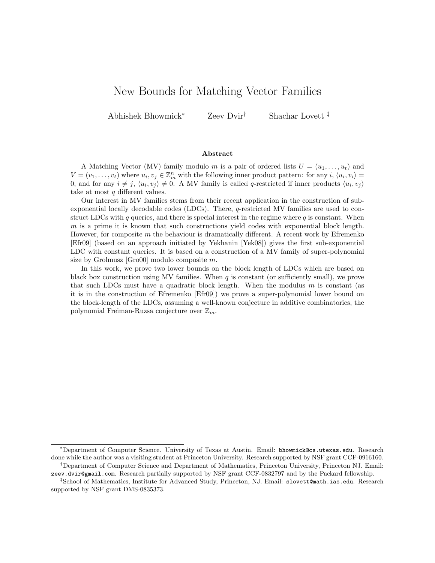# New Bounds for Matching Vector Families

Abhishek Bhowmick<sup>∗</sup> Zeev Dvir† Shachar Lovett ‡

#### Abstract

A Matching Vector (MV) family modulo m is a pair of ordered lists  $U = (u_1, \ldots, u_t)$  and  $V = (v_1, \ldots, v_t)$  where  $u_i, v_j \in \mathbb{Z}_m^n$  with the following inner product pattern: for any  $i, \langle u_i, v_i \rangle =$ 0, and for any  $i \neq j$ ,  $\langle u_i, v_j \rangle \neq 0$ . A MV family is called q-restricted if inner products  $\langle u_i, v_j \rangle$ take at most  $q$  different values.

Our interest in MV families stems from their recent application in the construction of subexponential locally decodable codes (LDCs). There, q-restricted MV families are used to construct LDCs with q queries, and there is special interest in the regime where  $q$  is constant. When  $m$  is a prime it is known that such constructions yield codes with exponential block length. However, for composite m the behaviour is dramatically different. A recent work by Efremenko [Efr09] (based on an approach initiated by Yekhanin [Yek08]) gives the first sub-exponential LDC with constant queries. It is based on a construction of a MV family of super-polynomial size by Grolmusz [Gro00] modulo composite m.

In this work, we prove two lower bounds on the block length of LDCs which are based on black box construction using MV families. When  $q$  is constant (or sufficiently small), we prove that such LDCs must have a quadratic block length. When the modulus  $m$  is constant (as it is in the construction of Efremenko [Efr09]) we prove a super-polynomial lower bound on the block-length of the LDCs, assuming a well-known conjecture in additive combinatorics, the polynomial Freiman-Ruzsa conjecture over  $\mathbb{Z}_m$ .

<sup>∗</sup>Department of Computer Science. University of Texas at Austin. Email: bhowmick@cs.utexas.edu. Research done while the author was a visiting student at Princeton University. Research supported by NSF grant CCF-0916160. †Department of Computer Science and Department of Mathematics, Princeton University, Princeton NJ. Email:

zeev.dvir@gmail.com. Research partially supported by NSF grant CCF-0832797 and by the Packard fellowship.

<sup>‡</sup>School of Mathematics, Institute for Advanced Study, Princeton, NJ. Email: slovett@math.ias.edu. Research supported by NSF grant DMS-0835373.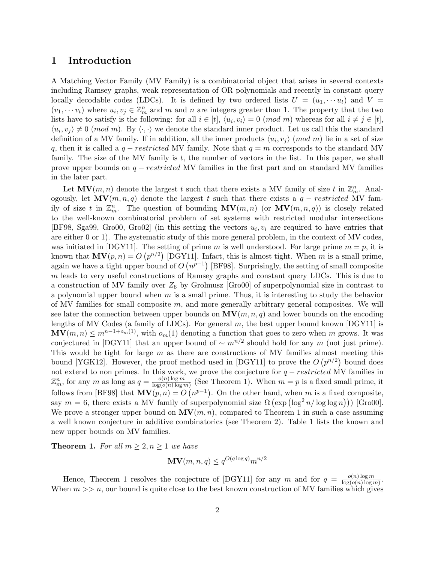## 1 Introduction

A Matching Vector Family (MV Family) is a combinatorial object that arises in several contexts including Ramsey graphs, weak representation of OR polynomials and recently in constant query locally decodable codes (LDCs). It is defined by two ordered lists  $U = (u_1, \dots, u_t)$  and  $V =$  $(v_1, \dots, v_t)$  where  $u_i, v_j \in \mathbb{Z}_m^n$  and m and n are integers greater than 1. The property that the two lists have to satisfy is the following: for all  $i \in [t]$ ,  $\langle u_i, v_i \rangle = 0 \pmod{m}$  whereas for all  $i \neq j \in [t]$ ,  $\langle u_i, v_j \rangle \neq 0 \pmod{m}$ . By  $\langle \cdot, \cdot \rangle$  we denote the standard inner product. Let us call this the standard definition of a MV family. If in addition, all the inner products  $\langle u_i, v_j \rangle$  (mod m) lie in a set of size q, then it is called a  $q-restructured$  MV family. Note that  $q=m$  corresponds to the standard MV family. The size of the MV family is  $t$ , the number of vectors in the list. In this paper, we shall prove upper bounds on  $q - restricted MV$  families in the first part and on standard MV families in the later part.

Let  $\mathbf{MV}(m,n)$  denote the largest t such that there exists a MV family of size t in  $\mathbb{Z}_m^n$ . Analogously, let  $\mathbf{MV}(m, n, q)$  denote the largest t such that there exists a  $q - restricted$  MV family of size t in  $\mathbb{Z}_m^n$ . The question of bounding  $\mathbf{MV}(m,n)$  (or  $\mathbf{MV}(m,n,q)$ ) is closely related to the well-known combinatorial problem of set systems with restricted modular intersections [BF98, Sga99, Gro00, Gro02] (in this setting the vectors  $u_i, v_i$  are required to have entries that are either 0 or 1). The systematic study of this more general problem, in the context of MV codes, was initiated in [DGY11]. The setting of prime m is well understood. For large prime  $m = p$ , it is known that  $MV(p, n) = O(p^{n/2})$  [DGY11]. Infact, this is almost tight. When m is a small prime, again we have a tight upper bound of  $O(n^{p-1})$  [BF98]. Surprisingly, the setting of small composite m leads to very useful constructions of Ramsey graphs and constant query LDCs. This is due to a construction of MV family over  $Z_6$  by Grolmusz [Gro00] of superpolynomial size in contrast to a polynomial upper bound when  $m$  is a small prime. Thus, it is interesting to study the behavior of MV families for small composite  $m$ , and more generally arbitrary general composites. We will see later the connection between upper bounds on  $\mathbf{MV}(m, n, q)$  and lower bounds on the encoding lengths of MV Codes (a family of LDCs). For general  $m$ , the best upper bound known [DGY11] is  $\mathbf{MV}(m,n) \leq m^{n-1+o_m(1)}$ , with  $o_m(1)$  denoting a function that goes to zero when m grows. It was conjectured in [DGY11] that an upper bound of  $\sim m^{n/2}$  should hold for any m (not just prime). This would be tight for large m as there are constructions of MV families almost meeting this bound [YGK12]. However, the proof method used in [DGY11] to prove the  $O(p^{n/2})$  bound does not extend to non primes. In this work, we prove the conjecture for  $q - restricted$  MV families in  $\mathbb{Z}_m^n$ , for any m as long as  $q = \frac{o(n) \log m}{\log(o(n) \log n)}$  $\frac{O(n)\log m}{\log(o(n)\log m)}$  (See Theorem 1). When  $m = p$  is a fixed small prime, it follows from [BF98] that  $MV(p, n) = O(n^{p-1})$ . On the other hand, when m is a fixed composite, say  $m = 6$ , there exists a MV family of superpolynomial size  $\Omega \left( \exp \left( \log^2 n / \log \log n \right) \right)$  [Gro00]. We prove a stronger upper bound on  $MV(m, n)$ , compared to Theorem 1 in such a case assuming a well known conjecture in additive combinatorics (see Theorem 2). Table 1 lists the known and new upper bounds on MV families.

**Theorem 1.** For all  $m \geq 2, n \geq 1$  we have

$$
\mathbf{MV}(m, n, q) \le q^{O(q \log q)} m^{n/2}
$$

Hence, Theorem 1 resolves the conjecture of [DGY11] for any m and for  $q = \frac{o(n) \log m}{\log(o(n) \log n)}$  $\frac{O(n) \log m}{\log (O(n) \log m)}$ When  $m >> n$ , our bound is quite close to the best known construction of MV families which gives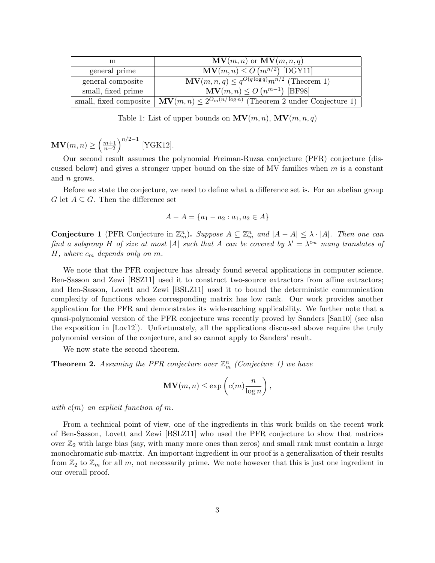| m                  | $\mathbf{MV}(m,n)$ or $\mathbf{MV}(m,n,q)$                                                                  |
|--------------------|-------------------------------------------------------------------------------------------------------------|
| general prime      | $\mathbf{MV}(m,n) \leq O\left(\frac{m^{n/2}}{\rho}\right)$ [DGY11]                                          |
| general composite  | $\mathbf{MV}(m,n,q) \leq q^{O(q \log q)} m^{n/2}$ (Theorem 1)                                               |
| small, fixed prime | $\mathbf{MV}(m,n) \leq O\left(n^{m-1}\right)$ [BF98]                                                        |
|                    | small, fixed composite $\left \mathbf{MV}(m,n)\right \leq 2^{O_m(n/\log n)}$ (Theorem 2 under Conjecture 1) |

Table 1: List of upper bounds on  $\mathbf{MV}(m, n)$ ,  $\mathbf{MV}(m, n, q)$ 

 $\mathbf{MV}(m,n) \geq \left(\frac{m+1}{n-2}\right)^{n/2-1}$  [YGK12].

Our second result assumes the polynomial Freiman-Ruzsa conjecture (PFR) conjecture (discussed below) and gives a stronger upper bound on the size of MV families when  $m$  is a constant and n grows.

Before we state the conjecture, we need to define what a difference set is. For an abelian group G let  $A \subseteq G$ . Then the difference set

$$
A - A = \{a_1 - a_2 : a_1, a_2 \in A\}
$$

**Conjecture 1** (PFR Conjecture in  $\mathbb{Z}_m^n$ ). Suppose  $A \subseteq \mathbb{Z}_m^n$  and  $|A - A| \leq \lambda \cdot |A|$ . Then one can find a subgroup H of size at most |A| such that A can be covered by  $\lambda' = \lambda^{c_m}$  many translates of  $H$ , where  $c_m$  depends only on  $m$ .

We note that the PFR conjecture has already found several applications in computer science. Ben-Sasson and Zewi [BSZ11] used it to construct two-source extractors from affine extractors; and Ben-Sasson, Lovett and Zewi [BSLZ11] used it to bound the deterministic communication complexity of functions whose corresponding matrix has low rank. Our work provides another application for the PFR and demonstrates its wide-reaching applicability. We further note that a quasi-polynomial version of the PFR conjecture was recently proved by Sanders [San10] (see also the exposition in [Lov12]). Unfortunately, all the applications discussed above require the truly polynomial version of the conjecture, and so cannot apply to Sanders' result.

We now state the second theorem.

**Theorem 2.** Assuming the PFR conjecture over  $\mathbb{Z}_m^n$  (Conjecture 1) we have

$$
\mathbf{MV}(m,n) \le \exp\left(c(m)\frac{n}{\log n}\right),\,
$$

with  $c(m)$  an explicit function of m.

From a technical point of view, one of the ingredients in this work builds on the recent work of Ben-Sasson, Lovett and Zewi [BSLZ11] who used the PFR conjecture to show that matrices over  $\mathbb{Z}_2$  with large bias (say, with many more ones than zeros) and small rank must contain a large monochromatic sub-matrix. An important ingredient in our proof is a generalization of their results from  $\mathbb{Z}_2$  to  $\mathbb{Z}_m$  for all m, not necessarily prime. We note however that this is just one ingredient in our overall proof.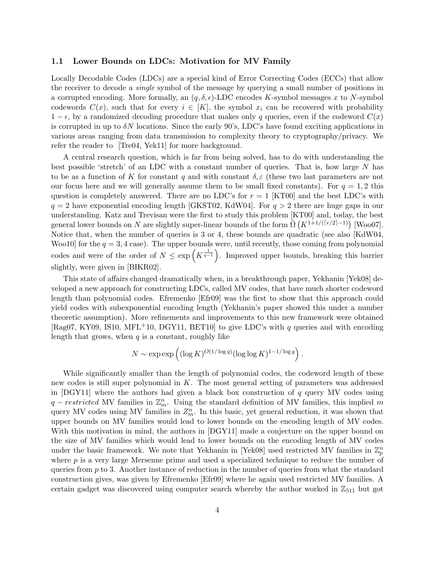#### 1.1 Lower Bounds on LDCs: Motivation for MV Family

Locally Decodable Codes (LDCs) are a special kind of Error Correcting Codes (ECCs) that allow the receiver to decode a single symbol of the message by querying a small number of positions in a corrupted encoding. More formally, an  $(q, \delta, \epsilon)$ -LDC encodes K-symbol messages x to N-symbol codewords  $C(x)$ , such that for every  $i \in [K]$ , the symbol  $x_i$  can be recovered with probability  $1 - \epsilon$ , by a randomized decoding procedure that makes only q queries, even if the codeword  $C(x)$ is corrupted in up to  $\delta N$  locations. Since the early 90's, LDC's have found exciting applications in various areas ranging from data transmission to complexity theory to cryptography/privacy. We refer the reader to [Tre04, Yek11] for more background.

A central research question, which is far from being solved, has to do with understanding the best possible 'stretch' of an LDC with a constant number of queries. That is, how large  $N$  has to be as a function of K for constant q and with constant  $\delta, \varepsilon$  (these two last parameters are not our focus here and we will generally assume them to be small fixed constants). For  $q = 1, 2$  this question is completely answered. There are no LDC's for  $r = 1$  [KT00] and the best LDC's with  $q = 2$  have exponential encoding length [GKST02, KdW04]. For  $q > 2$  there are huge gaps in our understanding. Katz and Trevisan were the first to study this problem [KT00] and, today, the best general lower bounds on N are slightly super-linear bounds of the form  $\tilde{\Omega}(K^{1+1/(\lceil r/2 \rceil-1)})$  [Woo07]. Notice that, when the number of queries is 3 or 4, these bounds are quadratic (see also [KdW04, Woo10 for the  $q = 3, 4$  case). The upper bounds were, until recently, those coming from polynomial codes and were of the order of  $N \leq \exp\left(K^{\frac{1}{q-1}}\right)$ . Improved upper bounds, breaking this barrier slightly, were given in [BIKR02].

This state of affairs changed dramatically when, in a breakthrough paper, Yekhanin [Yek08] developed a new approach for constructing LDCs, called MV codes, that have much shorter codeword length than polynomial codes. Efremenko [Efr09] was the first to show that this approach could yield codes with subexponential encoding length (Yekhanin's paper showed this under a number theoretic assumption). More refinements and improvements to this new framework were obtained [Rag07, KY09, IS10, MFL<sup>+</sup>10, DGY11, BET10] to give LDC's with q queries and with encoding length that grows, when  $q$  is a constant, roughly like

$$
N \sim \exp \exp \left( (\log K)^{O(1/\log q)} (\log \log K)^{1-1/\log q} \right).
$$

While significantly smaller than the length of polynomial codes, the codeword length of these new codes is still super polynomial in K. The most general setting of parameters was addressed in [DGY11] where the authors had given a black box construction of  $q$  query MV codes using q – restricted MV families in  $\mathbb{Z}_m^n$ . Using the standard definition of MV families, this implied m query MV codes using MV families in  $Z_m^n$ . In this basic, yet general reduction, it was shown that upper bounds on MV families would lead to lower bounds on the encoding length of MV codes. With this motivation in mind, the authors in [DGY11] made a conjecture on the upper bound on the size of MV families which would lead to lower bounds on the encoding length of MV codes under the basic framework. We note that Yekhanin in [Yek08] used restricted MV families in  $\mathbb{Z}_p^n$ where  $p$  is a very large Mersenne prime and used a specialized technique to reduce the number of queries from  $p$  to 3. Another instance of reduction in the number of queries from what the standard construction gives, was given by Efremenko [Efr09] where he again used restricted MV families. A certain gadget was discovered using computer search whereby the author worked in  $\mathbb{Z}_{511}$  but got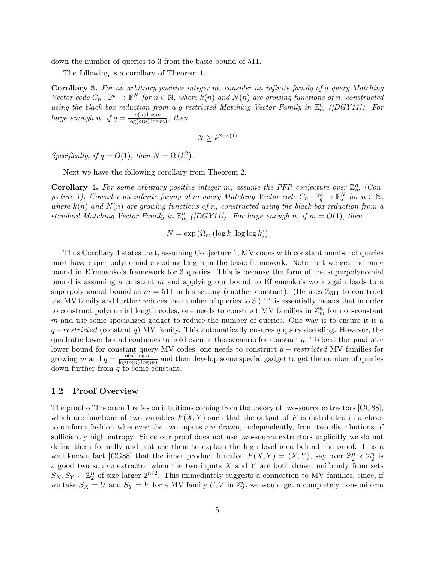down the number of queries to 3 from the basic bound of 511.

The following is a corollary of Theorem 1.

**Corollary 3.** For an arbitrary positive integer m, consider an infinite family of  $q$ -query Matching Vector code  $C_n : \mathbb{F}^k \to \mathbb{F}^N$  for  $n \in \mathbb{N}$ , where  $k(n)$  and  $N(n)$  are growing functions of n, constructed using the black box reduction from a q-restricted Matching Vector Family in  $\mathbb{Z}_m^n$  ([DGY11]). For large enough n, if  $q = \frac{o(n) \log m}{\log (o(n) \log n)}$  $\frac{o(n)\log m}{\log(o(n)\log m)}$ , then

$$
N \ge k^{2-o(1)}
$$

Specifically, if  $q = O(1)$ , then  $N = \Omega(k^2)$ .

Next we have the following corollary from Theorem 2.

**Corollary 4.** For some arbitrary positive integer m, assume the PFR conjecture over  $\mathbb{Z}_m^n$  (Conjecture 1). Consider an infinite family of m-query Matching Vector code  $C_n : \mathbb{F}_q^k \to \mathbb{F}_q^N$  for  $n \in \mathbb{N}$ , where  $k(n)$  and  $N(n)$  are growing functions of n, constructed using the black box reduction from a standard Matching Vector Family in  $\mathbb{Z}_m^n$  ([DGY11]). For large enough n, if  $m = O(1)$ , then

 $N = \exp(\Omega_m (\log k \log \log k))$ 

Thus Corollary 4 states that, assuming Conjecture 1, MV codes with constant number of queries must have super polynomial encoding length in the basic framework. Note that we get the same bound in Efremenko's framework for 3 queries. This is because the form of the superpolynomial bound is assuming a constant m and applying our bound to Efremenko's work again leads to a superpolynomial bound as  $m = 511$  in his setting (another constant). (He uses  $\mathbb{Z}_{511}$  to construct the MV family and further reduces the number of queries to 3.) This essentially means that in order to construct polynomial length codes, one needs to construct MV families in  $\mathbb{Z}_m^n$  for non-constant m and use some specialized gadget to reduce the number of queries. One way is to ensure it is a  $q-restructured$  (constant q) MV family. This automatically ensures q query decoding. However, the quadratic lower bound continues to hold even in this scenario for constant  $q$ . To beat the quadratic lower bound for constant query MV codes, one needs to construct  $q - restricted$  MV families for growing m and  $q = \frac{o(n) \log m}{\log (o(n) \log n)}$  $\frac{O(n) \log m}{\log(o(n) \log m)}$  and then develop some special gadget to get the number of queries down further from  $q$  to some constant.

#### 1.2 Proof Overview

The proof of Theorem 1 relies on intuitions coming from the theory of two-source extractors [CG88], which are functions of two variables  $F(X, Y)$  such that the output of F is distributed in a closeto-uniform fashion whenever the two inputs are drawn, independently, from two distributions of sufficiently high entropy. Since our proof does not use two-source extractors explicitly we do not define them formally and just use them to explain the high level idea behind the proof. It is a well known fact [CG88] that the inner product function  $F(X,Y) = \langle X, Y \rangle$ , say over  $\mathbb{Z}_2^n \times \mathbb{Z}_2^n$  is a good two source extractor when the two inputs  $X$  and  $Y$  are both drawn uniformly from sets  $S_X, S_Y \subseteq \mathbb{Z}_2^n$  of size larger  $2^{n/2}$ . This immediately suggests a connection to MV families, since, if we take  $S_X = U$  and  $S_Y = V$  for a MV family  $U, V$  in  $\mathbb{Z}_2^n$ , we would get a completely non-uniform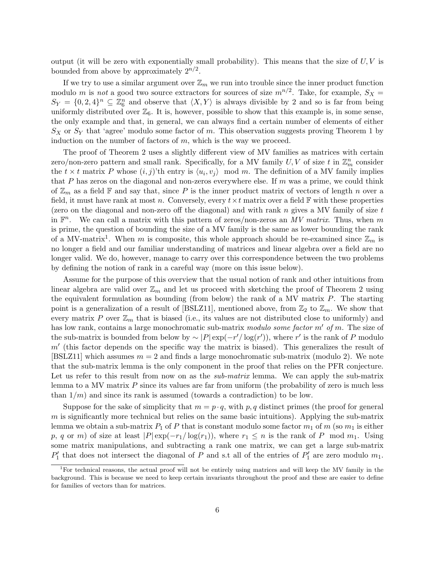output (it will be zero with exponentially small probability). This means that the size of  $U, V$  is bounded from above by approximately  $2^{n/2}$ .

If we try to use a similar argument over  $\mathbb{Z}_m$  we run into trouble since the inner product function modulo m is not a good two source extractors for sources of size  $m^{n/2}$ . Take, for example,  $S_X =$  $S_Y = \{0, 2, 4\}^n \subseteq \mathbb{Z}_6^n$  and observe that  $\langle X, Y \rangle$  is always divisible by 2 and so is far from being uniformly distributed over  $\mathbb{Z}_6$ . It is, however, possible to show that this example is, in some sense, the only example and that, in general, we can always find a certain number of elements of either  $S_X$  or  $S_Y$  that 'agree' modulo some factor of m. This observation suggests proving Theorem 1 by induction on the number of factors of  $m$ , which is the way we proceed.

The proof of Theorem 2 uses a slightly different view of MV families as matrices with certain zero/non-zero pattern and small rank. Specifically, for a MV family  $U, V$  of size t in  $\mathbb{Z}_m^n$  consider the  $t \times t$  matrix P whose  $(i, j)$ 'th entry is  $\langle u_i, v_j \rangle$  mod m. The definition of a MV family implies that P has zeros on the diagonal and non-zeros everywhere else. If  $m$  was a prime, we could think of  $\mathbb{Z}_m$  as a field F and say that, since P is the inner product matrix of vectors of length n over a field, it must have rank at most n. Conversely, every  $t \times t$  matrix over a field  $\mathbb F$  with these properties (zero on the diagonal and non-zero off the diagonal) and with rank  $n$  gives a MV family of size  $t$ in  $\mathbb{F}^n$ . We can call a matrix with this pattern of zeros/non-zeros an MV matrix. Thus, when m is prime, the question of bounding the size of a MV family is the same as lower bounding the rank of a MV-matrix<sup>1</sup>. When m is composite, this whole approach should be re-examined since  $\mathbb{Z}_m$  is no longer a field and our familiar understanding of matrices and linear algebra over a field are no longer valid. We do, however, manage to carry over this correspondence between the two problems by defining the notion of rank in a careful way (more on this issue below).

Assume for the purpose of this overview that the usual notion of rank and other intuitions from linear algebra are valid over  $\mathbb{Z}_m$  and let us proceed with sketching the proof of Theorem 2 using the equivalent formulation as bounding (from below) the rank of a MV matrix P. The starting point is a generalization of a result of [BSLZ11], mentioned above, from  $\mathbb{Z}_2$  to  $\mathbb{Z}_m$ . We show that every matrix P over  $\mathbb{Z}_m$  that is biased (i.e., its values are not distributed close to uniformly) and has low rank, contains a large monochromatic sub-matrix modulo some factor  $m'$  of m. The size of the sub-matrix is bounded from below by  $\sim |P| \exp(-r'/\log(r'))$ , where r' is the rank of P modulo  $m<sup>l</sup>$  (this factor depends on the specific way the matrix is biased). This generalizes the result of [BSLZ11] which assumes  $m = 2$  and finds a large monochromatic sub-matrix (modulo 2). We note that the sub-matrix lemma is the only component in the proof that relies on the PFR conjecture. Let us refer to this result from now on as the *sub-matrix* lemma. We can apply the sub-matrix lemma to a MV matrix  $P$  since its values are far from uniform (the probability of zero is much less than  $1/m$ ) and since its rank is assumed (towards a contradiction) to be low.

Suppose for the sake of simplicity that  $m = p \cdot q$ , with p, q distinct primes (the proof for general  $m$  is significantly more technical but relies on the same basic intuitions). Applying the sub-matrix lemma we obtain a sub-matrix  $P_1$  of P that is constant modulo some factor  $m_1$  of m (so  $m_1$  is either p, q or m) of size at least  $|P| \exp(-r_1/\log(r_1))$ , where  $r_1 \leq n$  is the rank of P mod  $m_1$ . Using some matrix manipulations, and subtracting a rank one matrix, we can get a large sub-matrix  $P'_1$  that does not intersect the diagonal of P and s.t all of the entries of  $P'_1$  are zero modulo  $m_1$ .

<sup>&</sup>lt;sup>1</sup>For technical reasons, the actual proof will not be entirely using matrices and will keep the MV family in the background. This is because we need to keep certain invariants throughout the proof and these are easier to define for families of vectors than for matrices.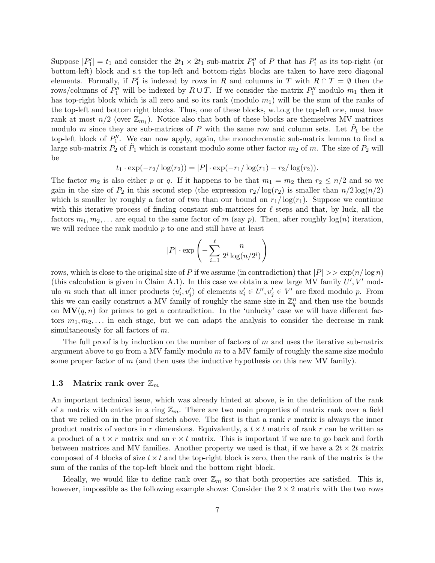Suppose  $|P'_1| = t_1$  and consider the  $2t_1 \times 2t_1$  sub-matrix  $P''_1$  of P that has  $P'_1$  as its top-right (or bottom-left) block and s.t the top-left and bottom-right blocks are taken to have zero diagonal elements. Formally, if  $P'_1$  is indexed by rows in R and columns in T with  $R \cap T = \emptyset$  then the rows/columns of  $P''_1$  will be indexed by  $R \cup T$ . If we consider the matrix  $P''_1$  modulo  $m_1$  then it has top-right block which is all zero and so its rank (modulo  $m_1$ ) will be the sum of the ranks of the top-left and bottom right blocks. Thus, one of these blocks, w.l.o.g the top-left one, must have rank at most  $n/2$  (over  $\mathbb{Z}_{m_1}$ ). Notice also that both of these blocks are themselves MV matrices modulo m since they are sub-matrices of P with the same row and column sets. Let  $\tilde{P}_1$  be the top-left block of  $P''_1$ . We can now apply, again, the monochromatic sub-matrix lemma to find a large sub-matrix  $P_2$  of  $P_1$  which is constant modulo some other factor  $m_2$  of m. The size of  $P_2$  will be

$$
t_1 \cdot \exp(-r_2/\log(r_2)) = |P| \cdot \exp(-r_1/\log(r_1) - r_2/\log(r_2)).
$$

The factor  $m_2$  is also either p or q. If it happens to be that  $m_1 = m_2$  then  $r_2 \leq n/2$  and so we gain in the size of  $P_2$  in this second step (the expression  $r_2/\log(r_2)$  is smaller than  $n/2\log(n/2)$ which is smaller by roughly a factor of two than our bound on  $r_1/\log(r_1)$ . Suppose we continue with this iterative process of finding constant sub-matrices for  $\ell$  steps and that, by luck, all the factors  $m_1, m_2, \ldots$  are equal to the same factor of m (say p). Then, after roughly  $log(n)$  iteration, we will reduce the rank modulo p to one and still have at least

$$
|P| \cdot \exp\left(-\sum_{i=1}^{\ell} \frac{n}{2^i \log(n/2^i)}\right)
$$

rows, which is close to the original size of P if we assume (in contradiction) that  $|P| >> \exp(n/\log n)$ (this calculation is given in Claim A.1). In this case we obtain a new large MV family  $U', V'$  modulo m such that all inner products  $\langle u'_i, v'_j \rangle$  of elements  $u'_i \in U', v'_j \in V'$  are fixed modulo p. From this we can easily construct a MV family of roughly the same size in  $\mathbb{Z}_q^n$  and then use the bounds on  $MV(q, n)$  for primes to get a contradiction. In the 'unlucky' case we will have different factors  $m_1, m_2, \ldots$  in each stage, but we can adapt the analysis to consider the decrease in rank simultaneously for all factors of m.

The full proof is by induction on the number of factors of  $m$  and uses the iterative sub-matrix argument above to go from a MV family modulo  $m$  to a MV family of roughly the same size modulo some proper factor of  $m$  (and then uses the inductive hypothesis on this new MV family).

#### 1.3 Matrix rank over  $\mathbb{Z}_m$

An important technical issue, which was already hinted at above, is in the definition of the rank of a matrix with entries in a ring  $\mathbb{Z}_m$ . There are two main properties of matrix rank over a field that we relied on in the proof sketch above. The first is that a rank  $r$  matrix is always the inner product matrix of vectors in r dimensions. Equivalently, a  $t \times t$  matrix of rank r can be written as a product of a  $t \times r$  matrix and an  $r \times t$  matrix. This is important if we are to go back and forth between matrices and MV families. Another property we used is that, if we have a  $2t \times 2t$  matrix composed of 4 blocks of size  $t \times t$  and the top-right block is zero, then the rank of the matrix is the sum of the ranks of the top-left block and the bottom right block.

Ideally, we would like to define rank over  $\mathbb{Z}_m$  so that both properties are satisfied. This is, however, impossible as the following example shows: Consider the  $2 \times 2$  matrix with the two rows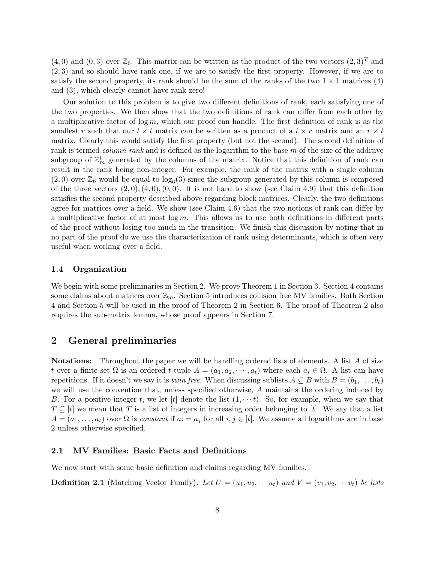$(4, 0)$  and  $(0, 3)$  over  $\mathbb{Z}_6$ . This matrix can be written as the product of the two vectors  $(2, 3)^T$  and (2, 3) and so should have rank one, if we are to satisfy the first property. However, if we are to satisfy the second property, its rank should be the sum of the ranks of the two  $1 \times 1$  matrices (4) and (3), which clearly cannot have rank zero!

Our solution to this problem is to give two different definitions of rank, each satisfying one of the two properties. We then show that the two definitions of rank can differ from each other by a multiplicative factor of  $\log m$ , which our proof can handle. The first definition of rank is as the smallest r such that our  $t \times t$  matrix can be written as a product of a  $t \times r$  matrix and an  $r \times t$ matrix. Clearly this would satisfy the first property (but not the second). The second definition of rank is termed *column-rank* and is defined as the logarithm to the base m of the size of the additive subgroup of  $\mathbb{Z}_m^t$  generated by the columns of the matrix. Notice that this definition of rank can result in the rank being non-integer. For example, the rank of the matrix with a single column  $(2,0)$  over  $\mathbb{Z}_6$  would be equal to  $\log_6(3)$  since the subgroup generated by this column is composed of the three vectors  $(2,0), (4,0), (0,0)$ . It is not hard to show (see Claim 4.9) that this definition satisfies the second property described above regarding block matrices. Clearly, the two definitions agree for matrices over a field. We show (see Claim 4.6) that the two notions of rank can differ by a multiplicative factor of at most  $\log m$ . This allows us to use both definitions in different parts of the proof without losing too much in the transition. We finish this discussion by noting that in no part of the proof do we use the characterization of rank using determinants, which is often very useful when working over a field.

#### 1.4 Organization

We begin with some preliminaries in Section 2. We prove Theorem 1 in Section 3. Section 4 contains some claims about matrices over  $\mathbb{Z}_m$ . Section 5 introduces collision free MV families. Both Section 4 and Section 5 will be used in the proof of Theorem 2 in Section 6. The proof of Theorem 2 also requires the sub-matrix lemma, whose proof appears in Section 7.

## 2 General preliminaries

**Notations:** Throughout the paper we will be handling ordered lists of elements. A list A of size t over a finite set  $\Omega$  is an ordered t-tuple  $A = (a_1, a_2, \dots, a_t)$  where each  $a_i \in \Omega$ . A list can have repetitions. If it doesn't we say it is *twin free*. When discussing sublists  $A \subseteq B$  with  $B = (b_1, \ldots, b_t)$ we will use the convention that, unless specified otherwise, A maintains the ordering induced by B. For a positive integer t, we let [t] denote the list  $(1, \dots t)$ . So, for example, when we say that  $T \subseteq [t]$  we mean that T is a list of integers in increasing order belonging to [t]. We say that a list  $A = (a_1, \ldots, a_t)$  over  $\Omega$  is constant if  $a_i = a_j$  for all  $i, j \in [t]$ . We assume all logarithms are in base 2 unless otherwise specified.

#### 2.1 MV Families: Basic Facts and Definitions

We now start with some basic definition and claims regarding MV families.

**Definition 2.1** (Matching Vector Family). Let  $U = (u_1, u_2, \dots u_t)$  and  $V = (v_1, v_2, \dots v_t)$  be lists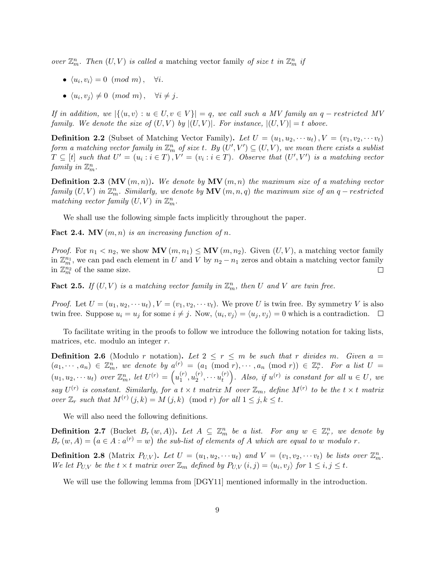over  $\mathbb{Z}_m^n$ . Then  $(U, V)$  is called a matching vector family of size t in  $\mathbb{Z}_m^n$  if

- $\langle u_i, v_i \rangle = 0 \pmod{m}, \quad \forall i.$
- $\langle u_i, v_j \rangle \neq 0 \pmod{m}, \quad \forall i \neq j.$

If in addition, we  $|\{(u, v) : u \in U, v \in V\}| = q$ , we call such a MV family an  $q$  – restricted MV family. We denote the size of  $(U, V)$  by  $|(U, V)|$ . For instance,  $|(U, V)| = t$  above.

**Definition 2.2** (Subset of Matching Vector Family). Let  $U = (u_1, u_2, \dots, u_t)$ ,  $V = (v_1, v_2, \dots, v_t)$ form a matching vector family in  $\mathbb{Z}_m^n$  of size t. By  $(U',V')\subseteq (U,V)$ , we mean there exists a sublist  $T \subseteq [t]$  such that  $U' = (u_i : i \in T), V' = (v_i : i \in T)$ . Observe that  $(U', V')$  is a matching vector family in  $\mathbb{Z}_m^n$ .

**Definition 2.3** (MV  $(m, n)$ ). We denote by MV  $(m, n)$  the maximum size of a matching vector  $family (U,V)$  in  $\mathbb{Z}_m^n$ . Similarly, we denote by  $\textbf{MV} \left( m,n,q \right)$  the maximum size of an  $q-restricted$ matching vector family  $(U, V)$  in  $\mathbb{Z}_m^n$ .

We shall use the following simple facts implicitly throughout the paper.

**Fact 2.4.** MV  $(m, n)$  is an increasing function of n.

*Proof.* For  $n_1 < n_2$ , we show  $MV(m, n_1) \leq MV(m, n_2)$ . Given  $(U, V)$ , a matching vector family in  $\mathbb{Z}_m^{n_1}$ , we can pad each element in U and V by  $n_2 - n_1$  zeros and obtain a matching vector family in  $\mathbb{Z}_m^{n_2}$  of the same size.  $\Box$ 

**Fact 2.5.** If  $(U, V)$  is a matching vector family in  $\mathbb{Z}_m^n$ , then U and V are twin free.

*Proof.* Let  $U = (u_1, u_2, \dots u_t)$ ,  $V = (v_1, v_2, \dots v_t)$ . We prove U is twin free. By symmetry V is also twin free. Suppose  $u_i = u_j$  for some  $i \neq j$ . Now,  $\langle u_i, v_j \rangle = \langle u_j, v_j \rangle = 0$  which is a contradiction.

To facilitate writing in the proofs to follow we introduce the following notation for taking lists, matrices, etc. modulo an integer r.

**Definition 2.6** (Modulo r notation). Let  $2 \le r \le m$  be such that r divides m. Given  $a =$  $(a_1, \dots, a_n) \in \mathbb{Z}_m^n$ , we denote by  $a^{(r)} = (a_1 \pmod{r}, \dots, a_n \pmod{r}) \in \mathbb{Z}_r^n$ . For a list  $U =$  $(u_1, u_2, \dots u_t)$  over  $\mathbb{Z}_m^n$ , let  $U^{(r)} = \left(u_1^{(r)}\right)^r$  $\binom{(r)}{1},u_2^{(r)}$  $x_2^{(r)}, \cdots u_t^{(r)}$  $\left( \begin{smallmatrix} (r) \ t \end{smallmatrix} \right)$ . Also, if  $u^{(r)}$  is constant for all  $u \in U$ , we say  $U^{(r)}$  is constant. Similarly, for a  $t \times t$  matrix M over  $\mathbb{Z}_m$ , define  $M^{(r)}$  to be the  $t \times t$  matrix over  $\mathbb{Z}_r$  such that  $M^{(r)}(j,k) = M(j,k) \pmod{r}$  for all  $1 \leq j, k \leq t$ .

We will also need the following definitions.

**Definition 2.7** (Bucket  $B_r(w, A)$ ). Let  $A \subseteq \mathbb{Z}_m^n$  be a list. For any  $w \in \mathbb{Z}_r^n$ , we denote by  $B_r(w, A) = (a \in A : a^{(r)} = w)$  the sub-list of elements of A which are equal to w modulo r.

**Definition 2.8** (Matrix  $P_{U,V}$ ). Let  $U = (u_1, u_2, \cdots u_t)$  and  $V = (v_1, v_2, \cdots v_t)$  be lists over  $\mathbb{Z}_m^n$ . We let  $P_{U,V}$  be the  $t \times t$  matrix over  $\mathbb{Z}_m$  defined by  $P_{U,V}(i,j) = \langle u_i, v_j \rangle$  for  $1 \leq i, j \leq t$ .

We will use the following lemma from  $[DGY11]$  mentioned informally in the introduction.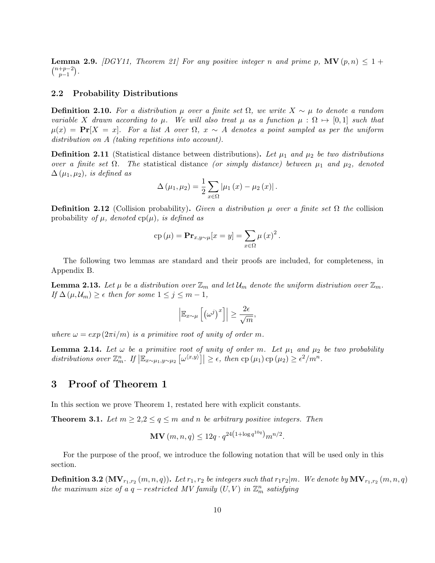**Lemma 2.9.** [DGY11, Theorem 21] For any positive integer n and prime p,  $\mathbf{MV}(p, n) \leq 1 + \frac{1}{2}$  $\binom{n+p-2}{n-1}$  $_{p-1}^{+p-2}$ ).

#### 2.2 Probability Distributions

**Definition 2.10.** For a distribution  $\mu$  over a finite set  $\Omega$ , we write  $X \sim \mu$  to denote a random variable X drawn according to  $\mu$ . We will also treat  $\mu$  as a function  $\mu : \Omega \mapsto [0, 1]$  such that  $\mu(x) = \Pr[X = x]$ . For a list A over  $\Omega$ ,  $x \sim A$  denotes a point sampled as per the uniform distribution on A (taking repetitions into account).

**Definition 2.11** (Statistical distance between distributions). Let  $\mu_1$  and  $\mu_2$  be two distributions over a finite set  $\Omega$ . The statistical distance (or simply distance) between  $\mu_1$  and  $\mu_2$ , denoted  $\Delta(\mu_1,\mu_2)$ , is defined as

$$
\Delta (\mu_1, \mu_2) = \frac{1}{2} \sum_{x \in \Omega} |\mu_1(x) - \mu_2(x)|.
$$

**Definition 2.12** (Collision probability). Given a distribution  $\mu$  over a finite set  $\Omega$  the collision probability of  $\mu$ , denoted cp( $\mu$ ), is defined as

$$
cp(\mu) = \mathbf{Pr}_{x,y \sim \mu}[x = y] = \sum_{x \in \Omega} \mu(x)^2.
$$

The following two lemmas are standard and their proofs are included, for completeness, in Appendix B.

**Lemma 2.13.** Let  $\mu$  be a distribution over  $\mathbb{Z}_m$  and let  $\mathcal{U}_m$  denote the uniform distriution over  $\mathbb{Z}_m$ . If  $\Delta(\mu, \mathcal{U}_m) \geq \epsilon$  then for some  $1 \leq j \leq m-1$ ,

$$
\left| \mathbb{E}_{x \sim \mu} \left[ \left( \omega^j \right)^x \right] \right| \ge \frac{2\epsilon}{\sqrt{m}},
$$

where  $\omega = exp(2\pi i/m)$  is a primitive root of unity of order m.

**Lemma 2.14.** Let  $\omega$  be a primitive root of unity of order m. Let  $\mu_1$  and  $\mu_2$  be two probability distributions over  $\mathbb{Z}_m^n$ . If  $\left|\mathbb{E}_{x \sim \mu_1, y \sim \mu_2} \left[\omega^{(x,y)}\right]\right| \geq \epsilon$ , then  $\text{cp}(\mu_1) \text{cp}(\mu_2) \geq \epsilon^2/m^n$ .

## 3 Proof of Theorem 1

In this section we prove Theorem 1, restated here with explicit constants.

**Theorem 3.1.** Let  $m \geq 2, 2 \leq q \leq m$  and n be arbitrary positive integers. Then

$$
\mathbf{MV}(m, n, q) \le 12q \cdot q^{24(1 + \log q^{10q})} m^{n/2}.
$$

For the purpose of the proof, we introduce the following notation that will be used only in this section.

 ${\bf Definition~3.2~}({\bf MV}_{r_1,r_2}\,(m,n,q)).$  Let  $r_1,r_2$  be integers such that  $r_1r_2|m.$  We denote by  ${\bf MV}_{r_1,r_2}\,(m,n,q)$ the maximum size of a  $q$  – restricted MV family  $(U, V)$  in  $\mathbb{Z}_m^n$  satisfying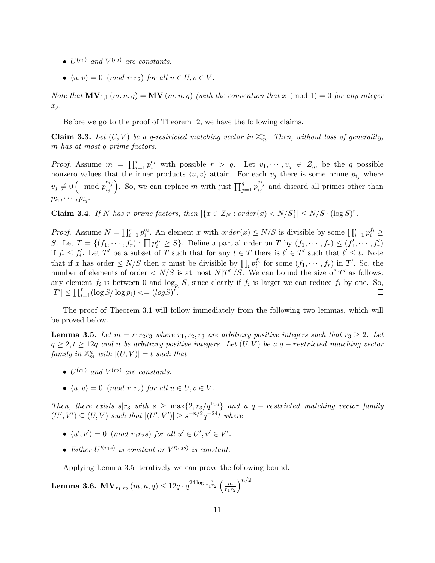- $U^{(r_1)}$  and  $V^{(r_2)}$  are constants.
- $\langle u, v \rangle = 0 \pmod{r_1r_2}$  for all  $u \in U, v \in V$ .

Note that  $\mathbf{MV}_{1,1}(m,n,q) = \mathbf{MV}(m,n,q)$  (with the convention that x (mod 1) = 0 for any integer x).

Before we go to the proof of Theorem 2, we have the following claims.

**Claim 3.3.** Let  $(U, V)$  be a q-restricted matching vector in  $\mathbb{Z}_m^n$ . Then, without loss of generality, m has at most q prime factors.

*Proof.* Assume  $m = \prod_{i=1}^r p_i^{e_i}$  with possible  $r > q$ . Let  $v_1, \dots, v_q \in Z_m$  be the q possible nonzero values that the inner products  $\langle u, v \rangle$  attain. For each  $v_j$  there is some prime  $p_{i_j}$  where  $v_j \neq 0$  (mod  $p_{i_j}^{e_{i_j}}$  $\begin{pmatrix} e_{i_j} \\ i_j \end{pmatrix}$ . So, we can replace m with just  $\prod_{j=1}^q p_{i_j}^{e_{i_j}}$  $\sum_{i,j}^{c_{ij}}$  and discard all primes other than  $p_{i_1},\cdots,p_{i_q}$ .  $\Box$ 

**Claim 3.4.** If N has r prime factors, then  $|\{x \in Z_N : order(x) < N/S\}| \le N/S \cdot (\log S)^r$ .

*Proof.* Assume  $N = \prod_{i=1}^r p_i^{e_i}$ . An element x with  $order(x) \le N/S$  is divisible by some  $\prod_{i=1}^r p_i^{f_i} \ge$ S. Let  $T = \{(f_1, \dots, f_r) : \prod p_i^{f_i} \geq S\}$ . Define a partial order on T by  $(f_1, \dots, f_r) \leq (f'_1, \dots, f'_r)$ if  $f_i \leq f'_i$ . Let T' be a subset of T such that for any  $t \in T$  there is  $t' \in T'$  such that  $t' \leq t$ . Note that if x has order  $\leq N/S$  then x must be divisible by  $\prod_i p_i^{f_i}$  for some  $(f_1, \dots, f_r)$  in T'. So, the number of elements of order  $\langle N/S \rangle$  is at most  $N/T'/S$ . We can bound the size of T' as follows: any element  $f_i$  is between 0 and  $\log_{p_i} S$ , since clearly if  $f_i$  is larger we can reduce  $f_i$  by one. So,  $|T'| \le \prod_{i=1}^r (\log S / \log p_i) \le (\log S)^{r}$ .  $\Box$ 

The proof of Theorem 3.1 will follow immediately from the following two lemmas, which will be proved below.

**Lemma 3.5.** Let  $m = r_1r_2r_3$  where  $r_1, r_2, r_3$  are arbitrary positive integers such that  $r_3 \geq 2$ . Let  $q \geq 2, t \geq 12q$  and n be arbitrary positive integers. Let  $(U, V)$  be a  $q$  – restricted matching vector family in  $\mathbb{Z}_m^n$  with  $|(U, V)| = t$  such that

- $U^{(r_1)}$  and  $V^{(r_2)}$  are constants.
- $\langle u, v \rangle = 0 \pmod{r_1r_2}$  for all  $u \in U, v \in V$ .

Then, there exists s|r<sub>3</sub> with s  $\geq$  max{2, r<sub>3</sub>/q<sup>10q</sup>} and a q – restricted matching vector family  $(U', V') \subseteq (U, V)$  such that  $|(U', V')| \geq s^{-n/2} q^{-24} t$  where

- $\langle u', v' \rangle = 0 \pmod{r_1r_2s}$  for all  $u' \in U', v' \in V'.$
- Either  $U^{\prime (r_1 s)}$  is constant or  $V^{\prime (r_2 s)}$  is constant.

Applying Lemma 3.5 iteratively we can prove the following bound.

Lemma 3.6.  $\mathbf{MV}_{r_1,r_2}\left(m,n,q\right)\leq 12q\cdot q^{24\log \frac{m}{r_1r_2}}\left(\frac{m}{r_1r}\right)$  $r_1r_2$  $\big)^{n/2}$ .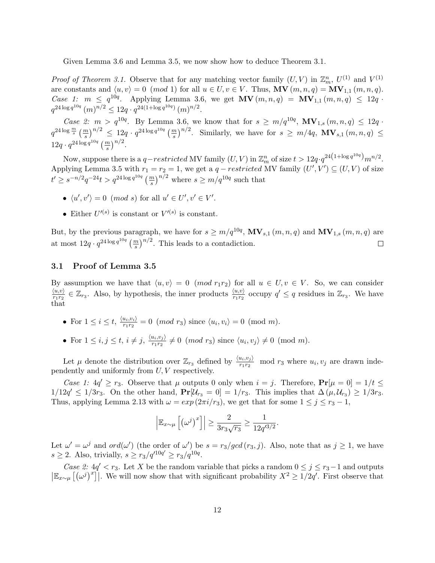Given Lemma 3.6 and Lemma 3.5, we now show how to deduce Theorem 3.1.

*Proof of Theorem 3.1.* Observe that for any matching vector family  $(U, V)$  in  $\mathbb{Z}_m^n$ ,  $U^{(1)}$  and  $V^{(1)}$ are constants and  $\langle u, v \rangle = 0 \pmod{1}$  for all  $u \in U, v \in V$ . Thus,  $MV(m, n, q) = MV_{1,1}(m, n, q)$ . *Case 1:*  $m \leq q^{10q}$ . Applying Lemma 3.6, we get  $\text{MV}(m, n, q) = \text{MV}_{1,1}(m, n, q) \leq 12q$ .  $q^{24\log q^{10q}} (m)^{n/2} \leq 12q \cdot q^{24(1+\log q^{10q})} (m)^{n/2}.$ 

*Case 2:*  $m > q^{10q}$ . By Lemma 3.6, we know that for  $s \geq m/q^{10q}$ ,  $MV_{1,s}(m, n, q) \leq 12q$ .  $q^{24\log\frac{m}{s}}\left(\frac{m}{s}\right)^{n/2} \leq 12q \cdot q^{24\log q^{10q}}\left(\frac{m}{s}\right)^{n/2}$ . Similarly, we have for  $s \geq m/4q$ ,  $\mathbf{MV}_{s,1}(m,n,q) \leq$  $12q \cdot q^{24 \log q^{10q}} \left(\frac{m}{s}\right)^{n/2}.$ 

Now, suppose there is a  $q-restricted$  MV family  $(U, V)$  in  $\mathbb{Z}_m^n$  of size  $t > 12q \cdot q^{24(1 + \log q^{10q})} m^{n/2}$ . Applying Lemma 3.5 with  $r_1 = r_2 = 1$ , we get a  $q-restricted$  MV family  $(U', V') \subseteq (U, V)$  of size  $t' \geq s^{-n/2} q^{-24} t > q^{24 \log q^{10q}} \left(\frac{m}{s}\right)^{n/2}$  where  $s \geq m/q^{10q}$  such that

- $\langle u', v' \rangle = 0 \pmod{s}$  for all  $u' \in U', v' \in V'.$
- Either  $U'^{(s)}$  is constant or  $V'^{(s)}$  is constant.

But, by the previous paragraph, we have for  $s \geq m/q^{10q}$ ,  $MV_{s,1}(m,n,q)$  and  $MV_{1,s}(m,n,q)$  are at most  $12q \cdot q^{24 \log q^{10q}} \left(\frac{m}{s}\right)^{n/2}$ . This leads to a contadiction.  $\Box$ 

#### 3.1 Proof of Lemma 3.5

By assumption we have that  $\langle u, v \rangle = 0 \pmod{r_1 r_2}$  for all  $u \in U, v \in V$ . So, we can consider  $\langle u,v\rangle$  $\frac{\langle u,v\rangle}{r_1r_2} \in \mathbb{Z}_{r_3}$ . Also, by hypothesis, the inner products  $\frac{\langle u,v\rangle}{r_1r_2}$  occupy  $q' \leq q$  residues in  $\mathbb{Z}_{r_3}$ . We have that

- For  $1 \leq i \leq t$ ,  $\frac{\langle u_i, v_i \rangle}{r_i r_0}$  $\frac{u_i, v_i}{r_1 r_2} = 0 \pmod{r_3}$  since  $\langle u_i, v_i \rangle = 0 \pmod{m}$ .
- For  $1 \leq i, j \leq t, i \neq j, \frac{\langle u_i, v_j \rangle}{r_i r_0}$  $\frac{u_i, v_j}{r_1 r_2} \neq 0 \pmod{r_3}$  since  $\langle u_i, v_j \rangle \neq 0 \pmod{m}$ .

Let  $\mu$  denote the distribution over  $\mathbb{Z}_{r_3}$  defined by  $\frac{\langle u_i, v_j \rangle}{r_1 r_2}$  mod  $r_3$  where  $u_i, v_j$  are drawn independently and uniformly from U, V respectively.

Case 1:  $4q' \geq r_3$ . Observe that  $\mu$  outputs 0 only when  $i = j$ . Therefore,  $Pr[\mu = 0] = 1/t \leq$  $1/12q' \leq 1/3r_3$ . On the other hand,  $\Pr[\mathcal{U}_{r_3} = 0] = 1/r_3$ . This implies that  $\Delta(\mu, \mathcal{U}_{r_3}) \geq 1/3r_3$ . Thus, applying Lemma 2.13 with  $\omega = exp(2\pi i/r_3)$ , we get that for some  $1 \le j \le r_3 - 1$ ,

$$
\left| \mathbb{E}_{x \sim \mu} \left[ \left( \omega^j \right)^x \right] \right| \ge \frac{2}{3r_3\sqrt{r_3}} \ge \frac{1}{12q'^{3/2}}.
$$

Let  $\omega' = \omega^j$  and  $ord(\omega')$  (the order of  $\omega'$ ) be  $s = r_3/gcd(r_3, j)$ . Also, note that as  $j \ge 1$ , we have  $s \geq 2$ . Also, trivially,  $s \geq r_3/q'^{10q'} \geq r_3/q^{10q}$ .

Case 2:  $4q' < r_3$ . Let X be the random variable that picks a random  $0 \le j \le r_3-1$  and outputs  $\left|\mathbb{E}_{x\sim\mu}\left[\left(\omega^j\right)^x\right]\right|$ . We will now show that with significant probability  $X^2 \geq 1/2q'$ . First observe that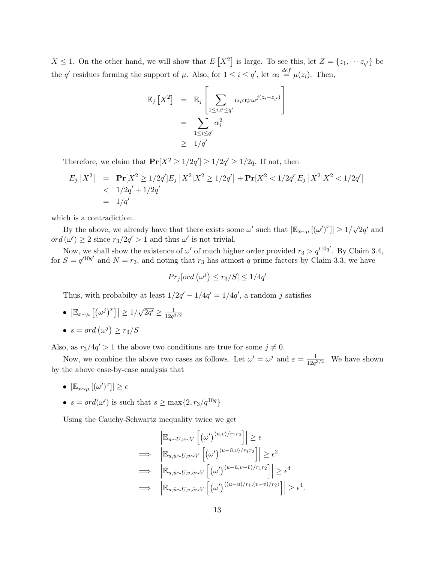$X \leq 1$ . On the other hand, we will show that  $E[X^2]$  is large. To see this, let  $Z = \{z_1, \dots, z_{q'}\}$  be the q' residues forming the support of  $\mu$ . Also, for  $1 \leq i \leq q'$ , let  $\alpha_i \stackrel{def}{=} \mu(z_i)$ . Then,

$$
\mathbb{E}_{j}\left[X^{2}\right] = \mathbb{E}_{j}\left[\sum_{1 \leq i, i' \leq q'} \alpha_{i} \alpha_{i'} \omega^{j(z_{i} - z_{i'})}\right]
$$

$$
= \sum_{1 \leq i \leq q'} \alpha_{i}^{2}
$$

$$
\geq 1/q'
$$

Therefore, we claim that  $Pr[X^2 \ge 1/2q'] \ge 1/2q' \ge 1/2q$ . If not, then

$$
E_j[X^2] = \mathbf{Pr}[X^2 \ge 1/2q']E_j[X^2|X^2 \ge 1/2q'] + \mathbf{Pr}[X^2 < 1/2q']E_j[X^2|X^2 < 1/2q']
$$
\n
$$
\le 1/2q' + 1/2q'
$$
\n
$$
= 1/q'
$$

which is a contradiction.

By the above, we already have that there exists some  $\omega'$  such that  $|\mathbb{E}_{x\sim\mu}[(\omega')^x]| \geq 1/$ √  $\overline{2q'}$  and  $ord(\omega') \geq 2$  since  $r_3/2q' > 1$  and thus  $\omega'$  is not trivial.

Now, we shall show the existence of  $\omega'$  of much higher order provided  $r_3 > q'^{10q'}$ . By Claim 3.4, for  $S = q^{10q'}$  and  $N = r_3$ , and noting that  $r_3$  has atmost q prime factors by Claim 3.3, we have

$$
Pr_j[ord\left(\omega^j\right) \le r_3/S] \le 1/4q'
$$

Thus, with probabilty at least  $1/2q' - 1/4q' = 1/4q'$ , a random j satisfies

- $\bullet \ |\mathbb{E}_{x \sim \mu} [(\omega^j)^x]| \geq 1/$ √  $\overline{2q'} \geq \frac{1}{12q^2}$  $12q^{3/2}$
- $s = ord(\omega^j) \ge r_3/S$

Also, as  $r_3/4q' > 1$  the above two conditions are true for some  $j \neq 0$ .

Now, we combine the above two cases as follows. Let  $\omega' = \omega^j$  and  $\varepsilon = \frac{1}{12\pi i}$  $\frac{1}{12q^{3/2}}$ . We have shown by the above case-by-case analysis that

- $\bullet \ |\mathbb{E}_{x \sim \mu} \left[ (\omega')^x \right]| \geq \epsilon$
- $s = ord(\omega')$  is such that  $s \ge \max\{2, r_3/q^{10q}\}\$

Using the Cauchy-Schwartz inequality twice we get

$$
\begin{aligned}\n&\left|\mathbb{E}_{u\sim U,v\sim V}\left[\left(\omega'\right)^{\langle u,v\rangle/r_1r_2}\right]\right| \geq \epsilon \\
&\Longrightarrow \left|\mathbb{E}_{u,\tilde{u}\sim U,v\sim V}\left[\left(\omega'\right)^{\langle u-\tilde{u},v\rangle/r_1r_2}\right]\right| \geq \epsilon^2 \\
&\Longrightarrow \left|\mathbb{E}_{u,\tilde{u}\sim U,v,\tilde{v}\sim V}\left[\left(\omega'\right)^{\langle u-\tilde{u},v-\tilde{v}\rangle/r_1r_2}\right]\right| \geq \epsilon^4 \\
&\Longrightarrow \left|\mathbb{E}_{u,\tilde{u}\sim U,v,\tilde{v}\sim V}\left[\left(\omega'\right)^{\langle (u-\tilde{u})/r_1,(v-\tilde{v})/r_2\rangle}\right]\right| \geq \epsilon^4.\n\end{aligned}
$$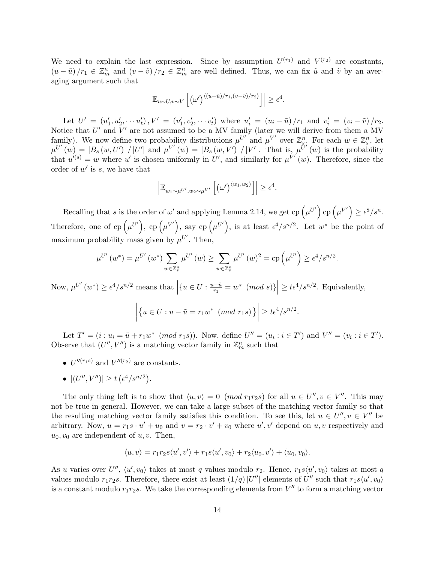We need to explain the last expression. Since by assumption  $U^{(r_1)}$  and  $V^{(r_2)}$  are constants,  $(u - \tilde{u})/r_1 \in \mathbb{Z}_m^n$  and  $(v - \tilde{v})/r_2 \in \mathbb{Z}_m^n$  are well defined. Thus, we can fix  $\tilde{u}$  and  $\tilde{v}$  by an averaging argument such that

$$
\left| \mathbb{E}_{u \sim U, v \sim V} \left[ \left( \omega' \right)^{\langle (u - \tilde{u})/r_1, (v - \tilde{v})/r_2 \rangle} \right] \right| \geq \epsilon^4.
$$

Let  $U' = (u'_1, u'_2, \cdots u'_t), V' = (v'_1, v'_2, \cdots v'_t)$  where  $u'_i = (u_i - \tilde{u})/r_1$  and  $v'_i = (v_i - \tilde{v})/r_2$ . Notice that  $U'$  and  $V'$  are not assumed to be a MV family (later we will derive from them a MV family). We now define two probability distributions  $\mu^{U'}$  and  $\mu^{V'}$  over  $\mathbb{Z}_s^n$ . For each  $w \in \mathbb{Z}_s^n$ , let  $\mu^{U'}(w) = |B_s(w, U')| / |U'|$  and  $\mu^{V'}(w) = |B_s(w, V')| / |V'|$ . That is,  $\mu^{U'}(w)$  is the probability that  $u^{(s)} = w$  where u' is chosen uniformly in U', and similarly for  $\mu^{V'}(w)$ . Therefore, since the order of  $w'$  is s, we have that

$$
\left| \mathbb{E}_{w_1 \sim \mu^{U'}, w_2 \sim \mu^{V'}} \left[ \left( \omega' \right)^{\langle w_1, w_2 \rangle} \right] \right| \geq \epsilon^4.
$$

Recalling that s is the order of  $\omega'$  and applying Lemma 2.14, we get cp  $(\mu^{U'})$  cp  $(\mu^{V'}) \ge \epsilon^8/s^n$ . Therefore, one of cp  $(\mu^{U'})$ , cp  $(\mu^{V'})$ , say cp  $(\mu^{U'})$ , is at least  $\epsilon^4/s^{n/2}$ . Let  $w^*$  be the point of maximum probability mass given by  $\mu^{U'}$ . Then,

$$
\mu^{U'}(w^*) = \mu^{U'}(w^*) \sum_{w \in \mathbb{Z}_s^n} \mu^{U'}(w) \ge \sum_{w \in \mathbb{Z}_s^n} \mu^{U'}(w)^2 = \text{cp}\left(\mu^{U'}\right) \ge \epsilon^4/s^{n/2}.
$$

Now,  $\mu^{U'}(w^*) \ge \epsilon^4/s^{n/2}$  means that  $\left| \{ u \in U : \frac{u - \tilde{u}}{r_1} \right| \}$  $\left|\frac{e^{-\tilde{u}}}{r_1} = w^* \pmod{s} \right| \geq t \epsilon^4 / s^{n/2}$ . Equivalently,

$$
\left| \left\{ u \in U : u - \tilde{u} = r_1 w^* \pmod{r_1 s} \right\} \right| \ge t \epsilon^4 / s^{n/2}
$$

.

Let  $T' = (i : u_i = \tilde{u} + r_1 w^* \pmod{r_1 s})$ . Now, define  $U'' = (u_i : i \in T')$  and  $V'' = (v_i : i \in T')$ . Observe that  $(U'', V'')$  is a matching vector family in  $\mathbb{Z}_m^n$  such that

- $U''^{(r_1 s)}$  and  $V'''^{(r_2)}$  are constants.
- $|(U'',V'')| \ge t \left(\epsilon^4/s^{n/2}\right).$

The only thing left is to show that  $\langle u, v \rangle = 0 \pmod{r_1r_2s}$  for all  $u \in U''$ ,  $v \in V''$ . This may not be true in general. However, we can take a large subset of the matching vector family so that the resulting matching vector family satisfies this condition. To see this, let  $u \in U''$ ,  $v \in V''$  be arbitrary. Now,  $u = r_1 s \cdot u' + u_0$  and  $v = r_2 \cdot v' + v_0$  where  $u', v'$  depend on  $u, v$  respectively and  $u_0, v_0$  are independent of u, v. Then,

$$
\langle u, v \rangle = r_1 r_2 s \langle u', v' \rangle + r_1 s \langle u', v_0 \rangle + r_2 \langle u_0, v' \rangle + \langle u_0, v_0 \rangle.
$$

As u varies over  $U''$ ,  $\langle u', v_0 \rangle$  takes at most q values modulo  $r_2$ . Hence,  $r_1 s \langle u', v_0 \rangle$  takes at most q values modulo  $r_1r_2s$ . Therefore, there exist at least  $(1/q)|U''|$  elements of  $U''$  such that  $r_1s\langle u', v_0\rangle$ is a constant modulo  $r_1r_2s$ . We take the corresponding elements from  $V''$  to form a matching vector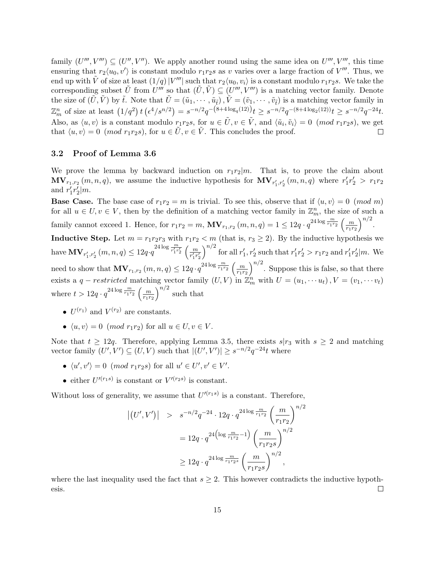family  $(U''', V''') \subseteq (U'', V'')$ . We apply another round using the same idea on  $U'''$ ,  $V'''$ , this time ensuring that  $r_2\langle u_0, v'\rangle$  is constant modulo  $r_1r_2s$  as v varies over a large fraction of  $V'''$ . Thus, we end up with  $\tilde{V}$  of size at least  $(1/q)|V'''|$  such that  $r_2\langle u_0, v_i\rangle$  is a constant modulo  $r_1r_2s$ . We take the corresponding subset  $\tilde{U}$  from  $U'''$  so that  $(\tilde{U}, \tilde{V}) \subseteq (U''', V''')$  is a matching vector family. Denote the size of  $(\tilde{U}, \tilde{V})$  by  $\tilde{t}$ . Note that  $\tilde{U} = (\tilde{u}_1, \dots, \tilde{u}_{\tilde{t}}), \tilde{V} = (\tilde{v}_1, \dots, \tilde{v}_{\tilde{t}})$  is a matching vector family in  $\mathbb{Z}_m^n$  of size at least  $(1/q^2) t \left(\frac{\epsilon^4}{s^{n/2}}\right) = s^{-n/2} q^{-\left(8+4\log_q(12)\right)} t \geq s^{-n/2} q^{-(8+4\log_2(12))} t \geq s^{-n/2} q^{-24} t$ . Also, as  $\langle u, v \rangle$  is a constant modulo  $r_1r_2s$ , for  $u \in \tilde{U}$ ,  $v \in \tilde{V}$ , and  $\langle \tilde{u}_i, \tilde{v}_i \rangle = 0$  (*mod*  $r_1r_2s$ ), we get that  $\langle u, v \rangle = 0$  (mod  $r_1r_2s$ ), for  $u \in \tilde{U}, v \in \tilde{V}$ . This concludes the proof.  $\Box$ 

#### 3.2 Proof of Lemma 3.6

We prove the lemma by backward induction on  $r_1r_2|m$ . That is, to prove the claim about  $\mathbf{MV}_{r_1,r_2}(m,n,q)$ , we assume the inductive hypothesis for  $\mathbf{MV}_{r'_1,r'_2}(m,n,q)$  where  $r'_1r'_2 > r_1r_2$ and  $r'_1r'_2|m$ .

**Base Case.** The base case of  $r_1r_2 = m$  is trivial. To see this, observe that if  $\langle u, v \rangle = 0 \pmod{m}$ for all  $u \in U, v \in V$ , then by the definition of a matching vector family in  $\mathbb{Z}_m^n$ , the size of such a family cannot exceed 1. Hence, for  $r_1r_2 = m$ ,  $\mathbf{MV}_{r_1,r_2}(m,n,q) = 1 \leq 12q \cdot q^{24 \log \frac{m}{r_1r_2}} \left(\frac{m}{r_1r_2}\right)$  $r_1r_2$  $\big)^{n/2}.$ Inductive Step. Let  $m = r_1r_2r_3$  with  $r_1r_2 < m$  (that is,  $r_3 \ge 2$ ). By the inductive hypothesis we have  $\mathbf{MV}_{r'_1, r'_2}(m, n, q) \leq 12q \cdot q^{\frac{24 \log \frac{m}{r'_1 r'_2}}{\frac{r'_1}{r'_1 r'_2}} \left(\frac{m}{r'_1 r'_1}\right)}$  $r'_1r'_2$  $\int^{n/2}$  for all  $r'_1, r'_2$  such that  $r'_1r'_2 > r_1r_2$  and  $r'_1r'_2 \vert m$ . We need to show that  $\mathbf{MV}_{r_1,r_2}(m,n,q) \leq 12q \cdot q^{24 \log \frac{m}{r_1r_2}} \left(\frac{m}{r_1r}\right)$  $r_1r_2$  $\int^{n/2}$ . Suppose this is false, so that there exists a  $q-restricted$  matching vector family  $(U, V)$  in  $\mathbb{Z}_m^n$  with  $U = (u_1, \dots, u_t)$ ,  $V = (v_1, \dots, v_t)$ where  $t > 12q \cdot q^{24 \log \frac{m}{r_1 r_2}} \left(\frac{m}{\pi r} \right)$  $\overline{r_1r_2}$  $\int_0^{n/2}$  such that

- $U^{(r_1)}$  and  $V^{(r_2)}$  are constants.
- $\langle u, v \rangle = 0 \pmod{r_1r_2}$  for all  $u \in U, v \in V$ .

Note that  $t \geq 12q$ . Therefore, applying Lemma 3.5, there exists  $s|r_3$  with  $s \geq 2$  and matching vector family  $(U', V') \subseteq (U, V)$  such that  $|(U', V')| \geq s^{-n/2} q^{-24} t$  where

- $\langle u', v' \rangle = 0 \pmod{r_1r_2s}$  for all  $u' \in U', v' \in V'.$
- either  $U'^{(r_1s)}$  is constant or  $V'^{(r_2s)}$  is constant.

Without loss of generality, we assume that  $U^{(r_1 s)}$  is a constant. Therefore,

$$
\begin{array}{ll} \left| \left( U',V' \right) \right| > s^{-n/2} q^{-24} \cdot 12 q \cdot q^{24 \log \frac{m}{r_1 r_2}} \left( \frac{m}{r_1 r_2} \right)^{n/2} \\ & = 12 q \cdot q^{24 \left( \log \frac{m}{r_1 r_2} - 1 \right)} \left( \frac{m}{r_1 r_2 s} \right)^{n/2} \\ & \geq 12 q \cdot q^{24 \log \frac{m}{r_1 r_2 s}} \left( \frac{m}{r_1 r_2 s} \right)^{n/2}, \end{array}
$$

where the last inequality used the fact that  $s \geq 2$ . This however contradicts the inductive hypothesis.  $\Box$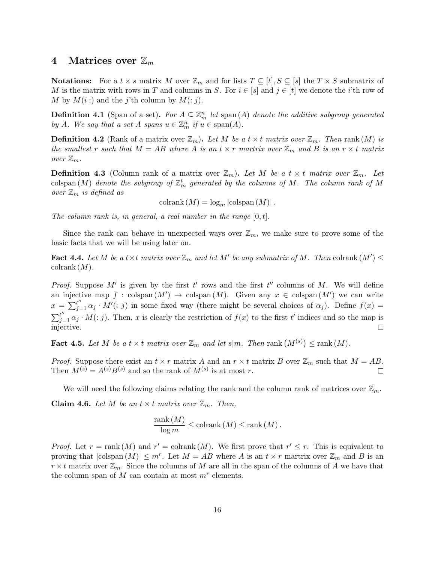## 4 Matrices over  $\mathbb{Z}_m$

**Notations:** For a  $t \times s$  matrix M over  $\mathbb{Z}_m$  and for lists  $T \subseteq [t], S \subseteq [s]$  the  $T \times S$  submatrix of M is the matrix with rows in T and columns in S. For  $i \in [s]$  and  $j \in [t]$  we denote the *i*'th row of M by  $M(i:)$  and the j'th column by  $M(:, j)$ .

**Definition 4.1** (Span of a set). For  $A \subseteq \mathbb{Z}_m^n$  let span  $(A)$  denote the additive subgroup generated by A. We say that a set A spans  $u \in \mathbb{Z}_m^n$  if  $u \in \text{span}(A)$ .

**Definition 4.2** (Rank of a matrix over  $\mathbb{Z}_m$ ). Let M be a t  $\times$  t matrix over  $\mathbb{Z}_m$ . Then rank  $(M)$  is the smallest r such that  $M = AB$  where A is an  $t \times r$  martrix over  $\mathbb{Z}_m$  and B is an  $r \times t$  matrix over  $\mathbb{Z}_m$ .

**Definition 4.3** (Column rank of a matrix over  $\mathbb{Z}_m$ ). Let M be a  $t \times t$  matrix over  $\mathbb{Z}_m$ . Let  $\operatorname{colspan}\left(M\right)$  denote the subgroup of  $\mathbb{Z}_m^t$  generated by the columns of M. The column rank of M over  $\mathbb{Z}_m$  is defined as

colrank  $(M) = \log_m |\text{colspan}(M)|$ .

The column rank is, in general, a real number in the range  $[0, t]$ .

Since the rank can behave in unexpected ways over  $\mathbb{Z}_m$ , we make sure to prove some of the basic facts that we will be using later on.

**Fact 4.4.** Let M be a  $t \times t$  matrix over  $\mathbb{Z}_m$  and let M' be any submatrix of M. Then colrank  $(M') \leq$ colrank  $(M)$ .

*Proof.* Suppose M' is given by the first t' rows and the first t'' columns of M. We will define an injective map  $f : \text{colspan}(M') \to \text{colspan}(M)$ . Given any  $x \in \text{colspan}(M')$  we can write  $x = \sum_{j=1}^{t''} \alpha_j \cdot M'(:,j)$  in some fixed way (there might be several choices of  $\alpha_j$ ). Define  $f(x) =$  $\sum_{j=1}^{t''} \alpha_j \cdot M(:,j)$ . Then, x is clearly the restriction of  $f(x)$  to the first t' indices and so the map is injective.  $\Box$ 

**Fact 4.5.** Let M be a  $t \times t$  matrix over  $\mathbb{Z}_m$  and let  $s|m$ . Then rank  $(M^{(s)}) \leq \text{rank}(M)$ .

*Proof.* Suppose there exist an  $t \times r$  matrix A and an  $r \times t$  matrix B over  $\mathbb{Z}_m$  such that  $M = AB$ . Then  $M^{(s)} = A^{(s)}B^{(s)}$  and so the rank of  $M^{(s)}$  is at most r.  $\Box$ 

We will need the following claims relating the rank and the column rank of matrices over  $\mathbb{Z}_m$ . **Claim 4.6.** Let M be an  $t \times t$  matrix over  $\mathbb{Z}_m$ . Then,

$$
\frac{\operatorname{rank}(M)}{\log m} \le \operatorname{colrank}(M) \le \operatorname{rank}(M).
$$

*Proof.* Let  $r = \text{rank}(M)$  and  $r' = \text{colrank}(M)$ . We first prove that  $r' \leq r$ . This is equivalent to proving that  $|\text{colspan}(M)| \leq m^r$ . Let  $M = AB$  where A is an  $t \times r$  martrix over  $\mathbb{Z}_m$  and B is an  $r \times t$  matrix over  $\mathbb{Z}_m$ . Since the columns of M are all in the span of the columns of A we have that the column span of  $M$  can contain at most  $m<sup>r</sup>$  elements.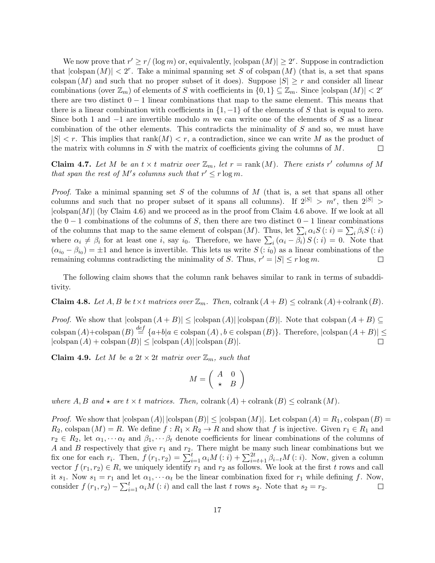We now prove that  $r' \geq r / (\log m)$  or, equivalently,  $|\text{colspan}(M)| \geq 2^r$ . Suppose in contradiction that  $|\text{colspan}(M)| < 2^r$ . Take a minimal spanning set S of colspan  $(M)$  (that is, a set that spans colspan  $(M)$  and such that no proper subset of it does). Suppose  $|S| \geq r$  and consider all linear combinations (over  $\mathbb{Z}_m$ ) of elements of S with coefficients in  $\{0,1\} \subseteq \mathbb{Z}_m$ . Since  $|\text{colspan}(M)| < 2^r$ there are two distinct  $0 - 1$  linear combinations that map to the same element. This means that there is a linear combination with coefficients in  $\{1, -1\}$  of the elements of S that is equal to zero. Since both 1 and  $-1$  are invertible modulo m we can write one of the elements of S as a linear combination of the other elements. This contradicts the minimality of S and so, we must have  $|S| < r$ . This implies that rank $(M) < r$ , a contradiction, since we can write M as the product of the matrix with columns in  $S$  with the matrix of coefficients giving the columns of  $M$ .  $\Box$ 

**Claim 4.7.** Let M be an  $t \times t$  matrix over  $\mathbb{Z}_m$ , let  $r = \text{rank}(M)$ . There exists r' columns of M that span the rest of M's columns such that  $r' \leq r \log m$ .

*Proof.* Take a minimal spanning set S of the columns of M (that is, a set that spans all other columns and such that no proper subset of it spans all columns). If  $2^{|S|} > m^r$ , then  $2^{|S|} >$  $|\text{colspan}(M)|$  (by Claim 4.6) and we proceed as in the proof from Claim 4.6 above. If we look at all the  $0-1$  combinations of the columns of S, then there are two distinct  $0-1$  linear combinations of the columns that map to the same element of colspan  $(M)$ . Thus, let  $\sum_i \alpha_i S(i) = \sum_i \beta_i S(i)$ where  $\alpha_i \neq \beta_i$  for at least one i, say i<sub>0</sub>. Therefore, we have  $\sum_i (\alpha_i - \beta_i) S(i) = 0$ . Note that  $(\alpha_{i_0} - \beta_{i_0}) = \pm 1$  and hence is invertible. This lets us write  $S(i_0)$  as a linear combinations of the remaining columns contradicting the minimality of S. Thus,  $r' = |S| \le r \log m$ .  $\Box$ 

The following claim shows that the column rank behaves similar to rank in terms of subadditivity.

**Claim 4.8.** Let A, B be  $t \times t$  matrices over  $\mathbb{Z}_m$ . Then, colrank  $(A + B) \leq \text{colrank}(A) + \text{colrank}(B)$ .

*Proof.* We show that  $|\text{colspan}(A + B)| \leq |\text{colspan}(A)| |\text{colspan}(B)|$ . Note that colspan  $(A + B) \subseteq$ colspan  $(A)$ +colspan  $(B) \stackrel{def}{=} \{a+b|a \in \text{colspan}(A), b \in \text{colspan}(B)\}\$ . Therefore,  $|\text{colspan}(A+B)| \le$  $|\text{colspan}(A) + \text{colspan}(B)| \leq |\text{colspan}(A)| |\text{colspan}(B)|.$  $\Box$ 

**Claim 4.9.** Let M be a  $2t \times 2t$  matrix over  $\mathbb{Z}_m$ , such that

$$
M = \left(\begin{array}{cc} A & 0 \\ \star & B \end{array}\right)
$$

where  $A, B$  and  $\star$  are  $t \times t$  matrices. Then, colrank  $(A)$  + colrank  $(B) \leq$  colrank  $(M)$ .

*Proof.* We show that  $|\text{colspan}(A)| |\text{colspan}(B)| \leq |\text{colspan}(M)|$ . Let  $\text{colspan}(A) = R_1$ ,  $\text{colspan}(B) =$  $R_2$ , colspan  $(M) = R$ . We define  $f: R_1 \times R_2 \to R$  and show that f is injective. Given  $r_1 \in R_1$  and  $r_2 \in R_2$ , let  $\alpha_1, \cdots, \alpha_t$  and  $\beta_1, \cdots, \beta_t$  denote coefficients for linear combinations of the columns of A and B respectively that give  $r_1$  and  $r_2$ . There might be many such linear combinations but we fix one for each  $r_i$ . Then,  $f(r_1, r_2) = \sum_{i=1}^t \alpha_i M(i,i) + \sum_{i=t+1}^{2t} \beta_{i-t} M(i,i)$ . Now, given a column vector  $f(r_1, r_2) \in R$ , we uniquely identify  $r_1$  and  $r_2$  as follows. We look at the first t rows and call it  $s_1$ . Now  $s_1 = r_1$  and let  $\alpha_1, \cdots, \alpha_t$  be the linear combination fixed for  $r_1$  while defining f. Now, consider  $f(r_1, r_2) - \sum_{i=1}^t \alpha_i M(i : i)$  and call the last t rows  $s_2$ . Note that  $s_2 = r_2$ .  $\Box$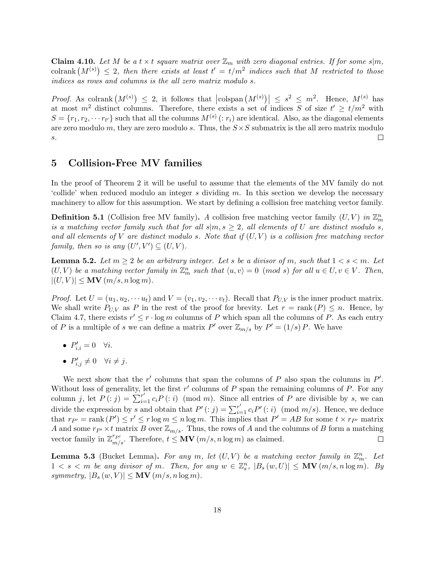**Claim 4.10.** Let M be a  $t \times t$  square matrix over  $\mathbb{Z}_m$  with zero diagonal entries. If for some s $|m$ , colrank  $(M^{(s)}) \leq 2$ , then there exists at least  $t' = t/m^2$  indices such that M restricted to those indices as rows and columns is the all zero matrix modulo s.

*Proof.* As colrank  $(M^{(s)}) \leq 2$ , it follows that  $\left|\text{colspan}(M^{(s)})\right| \leq s^2 \leq m^2$ . Hence,  $M^{(s)}$  has at most  $m^2$  distinct columns. Therefore, there exists a set of indices S of size  $t' \ge t/m^2$  with  $S = \{r_1, r_2, \dots r_{t'}\}$  such that all the columns  $M^{(s)}$  (:  $r_i$ ) are identical. Also, as the diagonal elements are zero modulo m, they are zero modulo s. Thus, the  $S \times S$  submatrix is the all zero matrix modulo  $\Box$ s.

## 5 Collision-Free MV families

In the proof of Theorem 2 it will be useful to assume that the elements of the MV family do not 'collide' when reduced modulo an integer s dividing m. In this section we develop the necessary machinery to allow for this assumption. We start by defining a collision free matching vector family.

**Definition 5.1** (Collision free MV family). A collision free matching vector family  $(U, V)$  in  $\mathbb{Z}_m^n$ is a matching vector family such that for all  $s|m, s \geq 2$ , all elements of U are distinct modulo s, and all elements of V are distinct modulo s. Note that if  $(U, V)$  is a collision free matching vector family, then so is any  $(U', V') \subseteq (U, V)$ .

**Lemma 5.2.** Let  $m \geq 2$  be an arbitrary integer. Let s be a divisor of m, such that  $1 < s < m$ . Let  $(U, V)$  be a matching vector family in  $\mathbb{Z}_m^n$  such that  $\langle u, v \rangle = 0 \pmod{s}$  for all  $u \in U, v \in V$ . Then,  $|(U, V)| \leq \textbf{MV} (m/s, n \log m).$ 

*Proof.* Let  $U = (u_1, u_2, \dots, u_t)$  and  $V = (v_1, v_2, \dots, v_t)$ . Recall that  $P_{U,V}$  is the inner product matrix. We shall write  $P_{U,V}$  as P in the rest of the proof for brevity. Let  $r = \text{rank}(P) \leq n$ . Hence, by Claim 4.7, there exists  $r' \leq r \cdot \log m$  columns of P which span all the columns of P. As each entry of P is a multiple of s we can define a matrix P' over  $\mathbb{Z}_{m/s}$  by  $P' = (1/s)P$ . We have

- $P'_{i,i} = 0 \quad \forall i.$
- $P'_{i,j} \neq 0 \quad \forall i \neq j.$

We next show that the  $r'$  columns that span the columns of  $P$  also span the columns in  $P'$ . Without loss of generality, let the first  $r'$  columns of  $P$  span the remaining columns of  $P$ . For any column j, let  $P(i; j) = \sum_{i=1}^{r} c_i P(i; i) \pmod{m}$ . Since all entries of P are divisible by s, we can divide the expression by s and obtain that  $P' : j) = \sum_{i=1}^{r'} c_i P' : j \pmod{m/s}$ . Hence, we deduce that  $r_{P'} = \text{rank} (P') \le r' \le r \log m \le n \log m$ . This implies that  $P' = AB$  for some  $t \times r_{P'}$  matrix A and some  $r_{P'} \times t$  matrix B over  $\mathbb{Z}_{m/s}$ . Thus, the rows of A and the columns of B form a matching vector family in  $\mathbb{Z}_{m/s}^{r_{P'}}$ . Therefore,  $t \leq MV(m/s, n \log m)$  as claimed.  $\Box$ 

**Lemma 5.3** (Bucket Lemma). For any m, let  $(U, V)$  be a matching vector family in  $\mathbb{Z}_m^n$ . Let  $1 < s < m$  be any divisor of m. Then, for any  $w \in \mathbb{Z}_s^n$ ,  $|B_s(w, U)| \le MV(m/s, n \log m)$ . By symmetry,  $|B_s(w, V)| \le MV(m/s, n \log m)$ .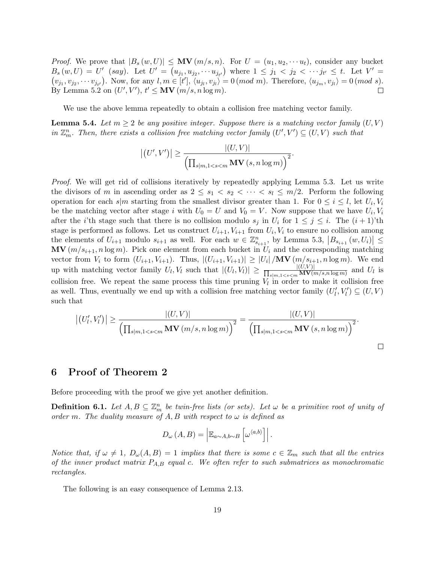*Proof.* We prove that  $|B_s(w, U)| \leq \mathbf{MV}(m/s, n)$ . For  $U = (u_1, u_2, \dots u_t)$ , consider any bucket  $B_s(w, U) = U'$  (say). Let  $U' = (u_{j_1}, u_{j_2}, \cdots u_{j_{t'}})$  where  $1 \leq j_1 < j_2 < \cdots j_{t'} \leq t$ . Let  $V' =$  $(v_{j_1}, v_{j_2}, \dots v_{j_{t'}})$ . Now, for any  $l, m \in [t'], \langle u_{j_l}, v_{j_l} \rangle = 0 \ (mod \ m)$ . Therefore,  $\langle u_{j_m}, v_{j_l} \rangle = 0 \ (mod \ s)$ . By Lemma 5.2 on  $(U', V'), t' \leq MV(m/s, n \log m)$ .  $\Box$ 

We use the above lemma repeatedly to obtain a collision free matching vector family.

**Lemma 5.4.** Let  $m \geq 2$  be any positive integer. Suppose there is a matching vector family  $(U, V)$ in  $\mathbb{Z}_m^n$ . Then, there exists a collision free matching vector family  $(U', V') \subseteq (U, V)$  such that

$$
\left| \left( U', V' \right) \right| \ge \frac{\left| \left( U, V \right) \right|}{\left( \prod_{s|m, 1 < s < m} \mathbf{MV} \left( s, n \log m \right) \right)^2}.
$$

Proof. We will get rid of collisions iteratively by repeatedly applying Lemma 5.3. Let us write the divisors of m in ascending order as  $2 \leq s_1 < s_2 < \cdots < s_l \leq m/2$ . Perform the following operation for each  $s|m$  starting from the smallest divisor greater than 1. For  $0 \leq i \leq l$ , let  $U_i, V_i$ be the matching vector after stage i with  $U_0 = U$  and  $V_0 = V$ . Now suppose that we have  $U_i, V_i$ after the *i*'th stage such that there is no collision modulo  $s_j$  in  $U_i$  for  $1 \leq j \leq i$ . The  $(i+1)$ 'th stage is performed as follows. Let us construct  $U_{i+1}, V_{i+1}$  from  $U_i, V_i$  to ensure no collision among the elements of  $U_{i+1}$  modulo  $s_{i+1}$  as well. For each  $w \in \mathbb{Z}_{s_{i+1}}^n$ , by Lemma 5.3,  $|B_{s_{i+1}}(w, U_i)| \le$  $\mathbf{MV}(m/s_{i+1}, n \log m)$ . Pick one element from each bucket in  $U_i$  and the corresponding matching vector from  $V_i$  to form  $(U_{i+1}, V_{i+1})$ . Thus,  $|(U_{i+1}, V_{i+1})| \geq |U_i|/\mathbf{MV}(m/s_{i+1}, n \log m)$ . We end up with matching vector family  $U_l, V_l$  such that  $|(U_l, V_l)| \ge \frac{|(U, V)|}{\prod_{c \mid m} \log_{\mathbb{Z}} \mathbf{MV}(l)}$  $\frac{|(U,V)|}{s|m,1 and  $U_l$  is$ collision free. We repeat the same process this time pruning  $V_l$  in order to make it collision free as well. Thus, eventually we end up with a collision free matching vector family  $(U'_{l}, V'_{l}) \subseteq (U, V)$ such that

$$
\left| \left( U'_{l}, V'_{l} \right) \right| \geq \frac{\left| \left( U, V \right) \right|}{\left( \prod_{s|m, 1 < s < m} \mathbf{MV} \left( m/s, n \log m \right) \right)^2} = \frac{\left| \left( U, V \right) \right|}{\left( \prod_{s|m, 1 < s < m} \mathbf{MV} \left( s, n \log m \right) \right)^2}.
$$

 $\Box$ 

## 6 Proof of Theorem 2

Before proceeding with the proof we give yet another definition.

**Definition 6.1.** Let  $A, B \subseteq \mathbb{Z}_m^n$  be twin-free lists (or sets). Let  $\omega$  be a primitive root of unity of order m. The duality measure of A, B with respect to  $\omega$  is defined as

$$
D_{\omega}\left(A,B\right) = \left| \mathbb{E}_{a \sim A,b \sim B}\left[\omega^{\langle a,b \rangle}\right] \right|.
$$

Notice that, if  $\omega \neq 1$ ,  $D_{\omega}(A, B) = 1$  implies that there is some  $c \in \mathbb{Z}_m$  such that all the entries of the inner product matrix  $P_{A,B}$  equal c. We often refer to such submatrices as monochromatic rectangles.

The following is an easy consequence of Lemma 2.13.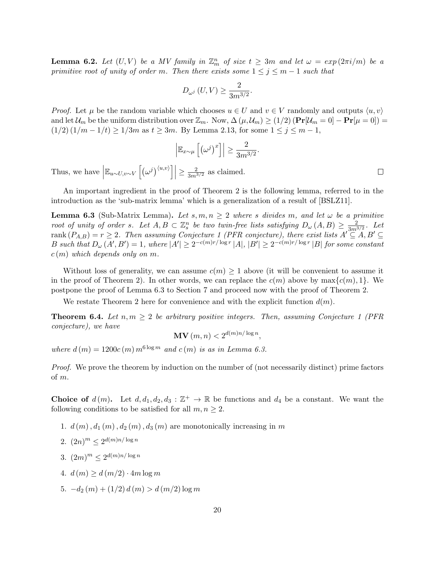**Lemma 6.2.** Let  $(U, V)$  be a MV family in  $\mathbb{Z}_m^n$  of size  $t \geq 3m$  and let  $\omega = exp(2\pi i/m)$  be a primitive root of unity of order m. Then there exists some  $1 \leq j \leq m-1$  such that

$$
D_{\omega^j}\left(U,V\right) \ge \frac{2}{3m^{3/2}}.
$$

*Proof.* Let  $\mu$  be the random variable which chooses  $u \in U$  and  $v \in V$  randomly and outputs  $\langle u, v \rangle$ and let  $\mathcal{U}_m$  be the uniform distribution over  $\mathbb{Z}_m$ . Now,  $\Delta(\mu, \mathcal{U}_m) \ge (1/2) (\Pr[\mathcal{U}_m = 0] - \Pr[\mu = 0]) =$  $(1/2) (1/m - 1/t) \ge 1/3m$  as  $t \ge 3m$ . By Lemma 2.13, for some  $1 \le j \le m - 1$ ,

$$
\left| \mathbb{E}_{x \sim \mu} \left[ \left( \omega^j \right)^x \right] \right| \geq \frac{2}{3m^{3/2}}.
$$

Thus, we have  $\left| \mathbb{E}_{u \sim U, v \sim V} \left[ \left( \omega^j \right)^{\langle u, v \rangle} \right] \right| \ge \frac{2}{3m^{3/2}}$  as claimed.

An important ingredient in the proof of Theorem 2 is the following lemma, referred to in the introduction as the 'sub-matrix lemma' which is a generalization of a result of [BSLZ11].

**Lemma 6.3** (Sub-Matrix Lemma). Let  $s, m, n \geq 2$  where s divides m, and let  $\omega$  be a primitive root of unity of order s. Let  $A, B \subset \mathbb{Z}_s^n$  be two twin-free lists satisfying  $D_\omega(A, B) \geq \frac{2}{3m^3}$  $\frac{2}{3m^{3/2}}$ . Let rank  $(P_{A,B}) = r \geq 2$ . Then assuming Conjecture 1 (PFR conjecture), there exist lists  $A' \subseteq A, B' \subseteq$ B such that  $D_{\omega}(A',B')=1$ , where  $|A'| \geq 2^{-c(m)r/\log r} |A|, |B'| \geq 2^{-c(m)r/\log r} |B|$  for some constant  $c(m)$  which depends only on m.

Without loss of generality, we can assume  $c(m) \geq 1$  above (it will be convenient to assume it in the proof of Theorem 2). In other words, we can replace the  $c(m)$  above by  $\max\{c(m), 1\}$ . We postpone the proof of Lemma 6.3 to Section 7 and proceed now with the proof of Theorem 2.

We restate Theorem 2 here for convenience and with the explicit function  $d(m)$ .

**Theorem 6.4.** Let  $n, m \geq 2$  be arbitrary positive integers. Then, assuming Conjecture 1 (PFR) conjecture), we have

 $\textbf{MV}\left(m,n\right) < 2^{d(m)n/\log n},$ 

where  $d(m) = 1200c(m) m^{6 \log m}$  and  $c(m)$  is as in Lemma 6.3.

Proof. We prove the theorem by induction on the number of (not necessarily distinct) prime factors of m.

**Choice of**  $d(m)$ . Let  $d, d_1, d_2, d_3 : \mathbb{Z}^+ \to \mathbb{R}$  be functions and  $d_4$  be a constant. We want the following conditions to be satisfied for all  $m, n \geq 2$ .

- 1.  $d(m)$ ,  $d_1(m)$ ,  $d_2(m)$ ,  $d_3(m)$  are monotonically increasing in m
- 2.  $(2n)^m \leq 2^{d(m)n/\log n}$
- 3.  $(2m)^m \leq 2^{d(m)n/\log n}$
- 4.  $d(m) \geq d(m/2) \cdot 4m \log m$
- 5.  $-d_2(m) + (1/2) d(m) > d(m/2) \log m$

 $\Box$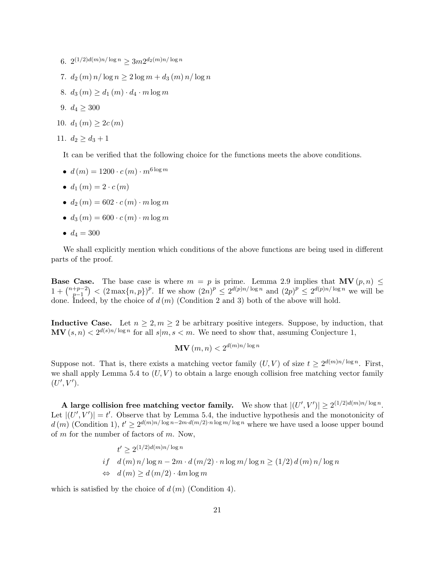- $6. \ \ 2^{(1/2)d(m)n/\log n} \geq 3m 2^{d_2(m)n/\log n}$
- 7.  $d_2(m) n / \log n \geq 2 \log m + d_3(m) n / \log n$
- 8.  $d_3(m) \geq d_1(m) \cdot d_4 \cdot m \log m$
- 9.  $d_4 \geq 300$
- 10.  $d_1(m) \geq 2c(m)$

11. 
$$
d_2 \geq d_3 + 1
$$

It can be verified that the following choice for the functions meets the above conditions.

- $d(m) = 1200 \cdot c(m) \cdot m^{6 \log m}$
- $d_1(m) = 2 \cdot c(m)$
- $d_2(m) = 602 \cdot c(m) \cdot m \log m$
- $d_3(m) = 600 \cdot c(m) \cdot m \log m$
- $d_4 = 300$

We shall explicitly mention which conditions of the above functions are being used in different parts of the proof.

**Base Case.** The base case is where  $m = p$  is prime. Lemma 2.9 implies that  $\mathbf{MV}(p, n) \leq$  $1 + \binom{n+p-2}{n-1}$  $\binom{p+2}{p-1}$  <  $(2 \max\{n,p\})^p$ . If we show  $(2n)^p \le 2^{d(p)n/\log n}$  and  $(2p)^p \le 2^{d(p)n/\log n}$  we will be done. Indeed, by the choice of  $d(m)$  (Condition 2 and 3) both of the above will hold.

**Inductive Case.** Let  $n \geq 2, m \geq 2$  be arbitrary positive integers. Suppose, by induction, that  $\mathbf{MV}(s,n) < 2^{d(s)n/\log n}$  for all  $s|m, s < m$ . We need to show that, assuming Conjecture 1,

$$
\mathbf{MV}\left(m,n\right) < 2^{d(m)n/\log n}
$$

Suppose not. That is, there exists a matching vector family  $(U, V)$  of size  $t \geq 2^{d(m)n/\log n}$ . First, we shall apply Lemma 5.4 to  $(U, V)$  to obtain a large enough collision free matching vector family  $(U', V').$ 

**A** large collision free matching vector family. We show that  $|(U', V')| \geq 2^{(1/2)d(m)n/\log n}$ . Let  $|(U', V')| = t'$ . Observe that by Lemma 5.4, the inductive hypothesis and the monotonicity of  $d(m)$  (Condition 1),  $t' \geq 2^{d(m)n/\log n - 2m \cdot d(m/2) \cdot n \log m / \log n}$  where we have used a loose upper bound of m for the number of factors of m. Now,

$$
t' \ge 2^{(1/2)d(m)n/\log n}
$$
  
if  $d(m) n/\log n - 2m \cdot d(m/2) \cdot n \log m/\log n \ge (1/2) d(m) n/\log n$   
 $\Leftrightarrow d(m) \ge d(m/2) \cdot 4m \log m$ 

which is satisfied by the choice of  $d(m)$  (Condition 4).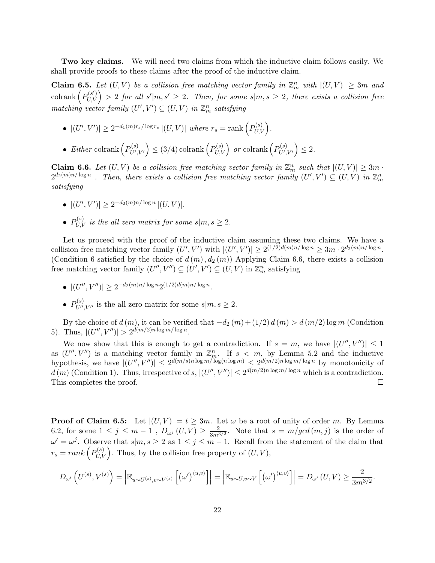Two key claims. We will need two claims from which the inductive claim follows easily. We shall provide proofs to these claims after the proof of the inductive claim.

**Claim 6.5.** Let  $(U, V)$  be a collision free matching vector family in  $\mathbb{Z}_m^n$  with  $|(U, V)| \geq 3m$  and  $\text{colrank}\left(P_{U,V}^{(s')}\right) > 2$  for all  $s'|m,s' \geq 2$ . Then, for some  $s|m,s \geq 2$ , there exists a collision free  $matching \ vector \ family \ (U',V') \subseteq (U,V) \ in \ {\mathbb Z}_m^n \ satisfying$ 

- $|(U', V')| \geq 2^{-d_1(m)r_s/\log r_s} |(U, V)|$  where  $r_s = \text{rank} \left( P_{U, V}^{(s)} \right)$ .
- Either colrank  $\left(P_{U'}^{(s)}\right)$  $\left( \begin{smallmatrix} P(s)\ U',V' \end{smallmatrix} \right) \leq (3/4) \operatorname{colrank} \left( \begin{smallmatrix} P(s)\ U,V \end{smallmatrix} \right) \; or \, \operatorname{colrank} \left( \begin{smallmatrix} P(s)\ U',V' \end{smallmatrix} \right)$  $\mathcal{L}^{(s)}_{U',V'}\Big)\leq 2.$

**Claim 6.6.** Let  $(U, V)$  be a collision free matching vector family in  $\mathbb{Z}_m^n$  such that  $|(U, V)| \geq 3m$ .  $2^{d_2(m)n/\log n}$  . Then, there exists a collision free matching vector family  $(U',V')\subseteq (U,V)$  in  $\mathbb{Z}_m^n$ satisfying

- $|(U',V')| \geq 2^{-d_2(m)n/\log n} |(U,V)|.$
- $P_{U,V}^{(s)}$  is the all zero matrix for some  $s|m,s\geq 2$ .

Let us proceed with the proof of the inductive claim assuming these two claims. We have a collision free matching vector family  $(U', V')$  with  $|(U', V')| \geq 2^{(1/2)d(m)n/\log n} \geq 3m \cdot 2^{d_2(m)n/\log n}$ . (Condition 6 satisfied by the choice of  $d(m)$ ,  $d_2(m)$ ) Applying Claim 6.6, there exists a collision free matching vector family  $(U'', V'') \subseteq (U', V') \subseteq (U, V)$  in  $\mathbb{Z}_m^n$  satisfying

- $\bullet$   $|(U'',V'')| \geq 2^{-d_2(m)n/\log n} 2^{(1/2)d(m)n/\log n}.$
- $P_{U'',V''}^{(s)}$  is the all zero matrix for some  $s|m,s \geq 2$ .

By the choice of  $d(m)$ , it can be verified that  $-d_2(m)+(1/2) d(m) > d(m/2) \log m$  (Condition 5). Thus,  $|(U'',V'')| > 2^{d(m/2)n \log m/\log n}$ .

We now show that this is enough to get a contradiction. If  $s = m$ , we have  $|(U'', V'')| \leq 1$ as  $(U'', V'')$  is a matching vector family in  $\mathbb{Z}_m^n$ . If  $s < m$ , by Lemma 5.2 and the inductive hypothesis, we have  $|(U'',V'')| \leq 2^{d(m/s)n \log m/\log(n \log m)} \leq 2^{d(m/2)n \log m/\log n}$  by monotonicity of  $d(m)$  (Condition 1). Thus, irrespective of s,  $|(U'',V'')| \leq 2^{d(m/2)n \log m/\log n}$  which is a contradiction. This completes the proof.  $\Box$ 

**Proof of Claim 6.5:** Let  $|(U, V)| = t \geq 3m$ . Let  $\omega$  be a root of unity of order m. By Lemma 6.2, for some  $1 \leq j \leq m-1$ ,  $D_{\omega^j}(U, V) \geq \frac{2}{3m^3}$  $\frac{2}{3m^{3/2}}$ . Note that  $s = m/gcd(m, j)$  is the order of  $\omega' = \omega^j$ . Observe that  $s|m, s \geq 2$  as  $1 \leq j \leq m-1$ . Recall from the statement of the claim that  $r_s = rank\left(P_{U,V}^{(s)}\right)$ . Thus, by the collision free property of  $(U, V)$ ,

$$
D_{\omega'}\left(U^{(s)},V^{(s)}\right)=\left|\mathbb{E}_{u\sim U^{(s)},v\sim V^{(s)}}\left[\left(\omega'\right)^{\langle u,v\rangle}\right]\right|=\left|\mathbb{E}_{u\sim U,v\sim V}\left[\left(\omega'\right)^{\langle u,v\rangle}\right]\right|=D_{\omega'}\left(U,V\right)\geq\frac{2}{3m^{3/2}}.
$$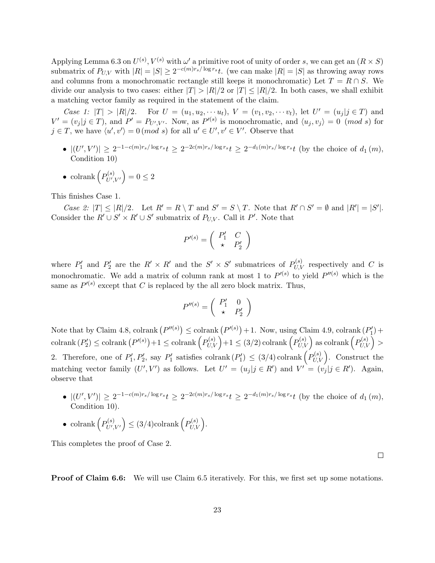Applying Lemma 6.3 on  $U^{(s)}$ ,  $V^{(s)}$  with  $\omega'$  a primitive root of unity of order s, we can get an  $(R \times S)$ submatrix of  $P_{U,V}$  with  $|R| = |S| \ge 2^{-c(m)r_s/\log r_s}t$ . (we can make  $|R| = |S|$  as throwing away rows and columns from a monochromatic rectangle still keeps it monochromatic) Let  $T = R \cap S$ . We divide our analysis to two cases: either  $|T| > |R|/2$  or  $|T| \leq |R|/2$ . In both cases, we shall exhibit a matching vector family as required in the statement of the claim.

Case 1:  $|T| > |R|/2$ . For  $U = (u_1, u_2, \dots u_t)$ ,  $V = (v_1, v_2, \dots v_t)$ , let  $U' = (u_j | j \in T)$  and  $V' = (v_j | j \in T)$ , and  $P' = P_{U',V'}$ . Now, as  $P'^{(s)}$  is monochromatic, and  $\langle u_j, v_j \rangle = 0$  (mod s) for  $j \in T$ , we have  $\langle u', v' \rangle = 0 \pmod{s}$  for all  $u' \in U', v' \in V'$ . Observe that

- $|(U', V')| \geq 2^{-1-c(m)r_s/\log r_s}t \geq 2^{-2c(m)r_s/\log r_s}t \geq 2^{-d_1(m)r_s/\log r_s}t$  (by the choice of  $d_1(m)$ , Condition 10)
- colrank  $\left(P_{U'}^{(s)}\right)$  $\mathcal{L}^{(s)}_{U',V'}\Big) = 0 \leq 2$

This finishes Case 1.

Case 2:  $|T| \leq |R|/2$ . Let  $R' = R \setminus T$  and  $S' = S \setminus T$ . Note that  $R' \cap S' = \emptyset$  and  $|R'| = |S'|$ . Consider the  $R' \cup S' \times R' \cup S'$  submatrix of  $P_{U,V}$ . Call it P'. Note that

$$
P'^{(s)} = \left(\begin{array}{cc} P'_1 & C \\ \star & P'_2 \end{array}\right)
$$

where  $P'_1$  and  $P'_2$  are the  $R' \times R'$  and the  $S' \times S'$  submatrices of  $P_{U,V}^{(s)}$  respectively and C is monochromatic. We add a matrix of column rank at most 1 to  $P^{(s)}$  to yield  $P^{(s)}$  which is the same as  $P'(s)$  except that C is replaced by the all zero block matrix. Thus,

$$
P''^{(s)} = \left(\begin{array}{cc} P'_1 & 0 \\ \star & P'_2 \end{array}\right)
$$

Note that by Claim 4.8, colrank  $(P''^{(s)}) \leq \text{colrank}(P''^{(s)}) + 1$ . Now, using Claim 4.9, colrank  $(P'_1)$  +  $\operatorname{colrank}{({P'_2})} \leq \operatorname{colrank}{\left({P'^{(s)}}\right)} + 1 \leq \operatorname{colrank}{\left({P^{(s)}_{U,V}}\right)} + 1 \leq (3/2)\operatorname{colrank}{\left({P^{(s)}_{U,V}}\right)} \text{ as colrank}{\left({P^{(s)}_{U,V}}\right)} >$ 2. Therefore, one of  $P'_1, P'_2$ , say  $P'_1$  satisfies colrank  $(P'_1) \leq (3/4)$  colrank  $(P'_{U,V})$ . Construct the matching vector family  $(U', V')$  as follows. Let  $U' = (u_j | j \in R')$  and  $V' = (v_j | j \in R')$ . Again, observe that

- $|(U', V')| \geq 2^{-1-c(m)r_s/\log r_s}t \geq 2^{-2c(m)r_s/\log r_s}t \geq 2^{-d_1(m)r_s/\log r_s}t$  (by the choice of  $d_1(m)$ , Condition 10).
- colrank  $\left(P_{U'}^{(s)}\right)$  $\left( \begin{matrix} P^{(s)}_{U',V'} \end{matrix} \right) \leq (3/4)$ colrank $\left( P^{(s)}_{U,V} \right)$ .

This completes the proof of Case 2.

 $\Box$ 

**Proof of Claim 6.6:** We will use Claim 6.5 iteratively. For this, we first set up some notations.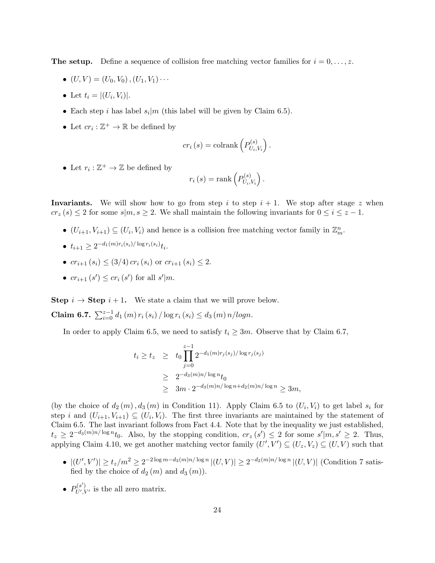**The setup.** Define a sequence of collision free matching vector families for  $i = 0, \ldots, z$ .

- $(U, V) = (U_0, V_0), (U_1, V_1) \cdots$
- Let  $t_i = |(U_i, V_i)|$ .
- Each step *i* has label  $s_i|m$  (this label will be given by Claim 6.5).
- Let  $cr_i:\mathbb{Z}^+\to\mathbb{R}$  be defined by

$$
cr_i(s) = \operatorname{colrank}\left(P_{U_i,V_i}^{(s)}\right).
$$

• Let  $r_i : \mathbb{Z}^+ \to \mathbb{Z}$  be defined by

$$
r_i(s) = \operatorname{rank}\left(P_{U_i,V_i}^{(s)}\right).
$$

**Invariants.** We will show how to go from step i to step  $i + 1$ . We stop after stage z when  $cr_z(s) \leq 2$  for some  $s|m, s \geq 2$ . We shall maintain the following invariants for  $0 \leq i \leq z - 1$ .

- $(U_{i+1}, V_{i+1}) \subseteq (U_i, V_i)$  and hence is a collision free matching vector family in  $\mathbb{Z}_m^n$ .
- $\bullet$   $t_{i+1} \geq 2^{-d_1(m)r_i(s_i)/\log r_i(s_i)} t_i.$
- $cr_{i+1}(s_i) \leq (3/4) cr_i(s_i)$  or  $cr_{i+1}(s_i) \leq 2$ .
- $cr_{i+1}(s') \leq cr_i(s')$  for all  $s'|m$ .

Step  $i \rightarrow$  Step  $i + 1$ . We state a claim that we will prove below.

**Claim 6.7.**  $\sum_{i=0}^{z-1} d_1(m) r_i(s_i) / \log r_i(s_i) \leq d_3(m) n / log n$ .

In order to apply Claim 6.5, we need to satisfy  $t_i \geq 3m$ . Observe that by Claim 6.7,

$$
t_i \ge t_z \ge t_0 \prod_{j=0}^{z-1} 2^{-d_1(m)r_j(s_j)/\log r_j(s_j)}
$$
  
 
$$
\ge 2^{-d_3(m)n/\log n} t_0
$$
  
 
$$
\ge 3m \cdot 2^{-d_3(m)n/\log n + d_2(m)n/\log n} \ge 3m,
$$

(by the choice of  $d_2(m)$ ,  $d_3(m)$  in Condition 11). Apply Claim 6.5 to  $(U_i, V_i)$  to get label  $s_i$  for step i and  $(U_{i+1}, V_{i+1}) \subseteq (U_i, V_i)$ . The first three invariants are maintained by the statement of Claim 6.5. The last invariant follows from Fact 4.4. Note that by the inequality we just established,  $t_z \geq 2^{-d_3(m)n/\log n} t_0$ . Also, by the stopping condition,  $cr_z(s') \leq 2$  for some  $s'|m, s' \geq 2$ . Thus, applying Claim 4.10, we get another matching vector family  $(U', V') \subseteq (U_z, V_z) \subseteq (U, V)$  such that

- $|(U',V')| \ge t_z/m^2 \ge 2^{-2\log m d_3(m)n/\log n} |(U,V)| \ge 2^{-d_2(m)n/\log n} |(U,V)|$  (Condition 7 satisfied by the choice of  $d_2(m)$  and  $d_3(m)$ .
- $\bullet$   $P_{II}^{(s')}$  $U'/V'$  is the all zero matrix.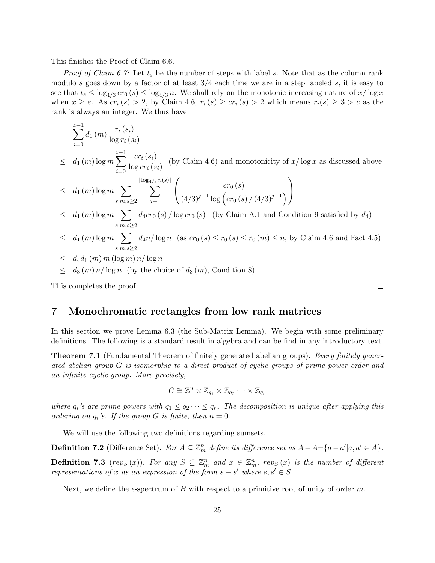This finishes the Proof of Claim 6.6.

*Proof of Claim 6.7:* Let  $t_s$  be the number of steps with label s. Note that as the column rank modulo s goes down by a factor of at least  $3/4$  each time we are in a step labeled s, it is easy to see that  $t_s \leq \log_{4/3} cr_0(s) \leq \log_{4/3} n$ . We shall rely on the monotonic increasing nature of  $x/\log x$ when  $x \ge e$ . As  $cr_i(s) > 2$ , by Claim 4.6,  $r_i(s) \ge cr_i(s) > 2$  which means  $r_i(s) \ge 3 > e$  as the rank is always an integer. We thus have

$$
\sum_{i=0}^{z-1} d_1(m) \frac{r_i(s_i)}{\log r_i(s_i)}
$$
\n
$$
\leq d_1(m) \log m \sum_{i=0}^{z-1} \frac{cr_i(s_i)}{\log cr_i(s_i)} \quad \text{(by Claim 4.6) and monotonicity of } x/\log x \text{ as discussed above}
$$
\n
$$
\leq d_1(m) \log m \sum_{s|m,s \geq 2} \sum_{j=1}^{\lfloor \log_{4/3} n(s) \rfloor} \left( \frac{cr_0(s)}{(4/3)^{j-1} \log \left( cr_0(s) / (4/3)^{j-1} \right)} \right)
$$
\n
$$
\leq d_1(m) \log m \sum_{s|m,s \geq 2} d_4 cr_0(s) / \log cr_0(s) \quad \text{(by Claim A.1 and Condition 9 satisfied by } d_4)
$$
\n
$$
\leq d_1(m) \log m \sum_{s|m,s \geq 2} d_4 n / \log n \quad \text{(as } cr_0(s) \leq r_0(s) \leq r_0(m) \leq n, \text{ by Claim 4.6 and Fact 4.5})
$$
\n
$$
\leq d_4 d_1(m) m (\log m) n / \log n
$$
\n
$$
\leq d_3(m) n / \log n \quad \text{(by the choice of } d_3(m), \text{Condition 8)}
$$

This completes the proof.

### 7 Monochromatic rectangles from low rank matrices

In this section we prove Lemma 6.3 (the Sub-Matrix Lemma). We begin with some preliminary definitions. The following is a standard result in algebra and can be find in any introductory text.

 $\Box$ 

**Theorem 7.1** (Fundamental Theorem of finitely generated abelian groups). Every finitely generated abelian group G is isomorphic to a direct product of cyclic groups of prime power order and an infinite cyclic group. More precisely,

$$
G \cong \mathbb{Z}^n \times \mathbb{Z}_{q_1} \times \mathbb{Z}_{q_2} \cdots \times \mathbb{Z}_{q_r}
$$

where  $q_i$ 's are prime powers with  $q_1 \leq q_2 \cdots \leq q_r$ . The decomposition is unique after applying this ordering on  $q_i$ 's. If the group G is finite, then  $n = 0$ .

We will use the following two definitions regarding sumsets.

**Definition 7.2** (Difference Set). For  $A \subseteq \mathbb{Z}_m^n$  define its difference set as  $A - A = \{a - a' | a, a' \in A\}$ .

**Definition 7.3** (rep<sub>S</sub>(x)). For any  $S \subseteq \mathbb{Z}_m^n$  and  $x \in \mathbb{Z}_m^n$ , rep<sub>S</sub>(x) is the number of different representations of x as an expression of the form  $s - s'$  where  $s, s' \in S$ .

Next, we define the  $\epsilon$ -spectrum of B with respect to a primitive root of unity of order m.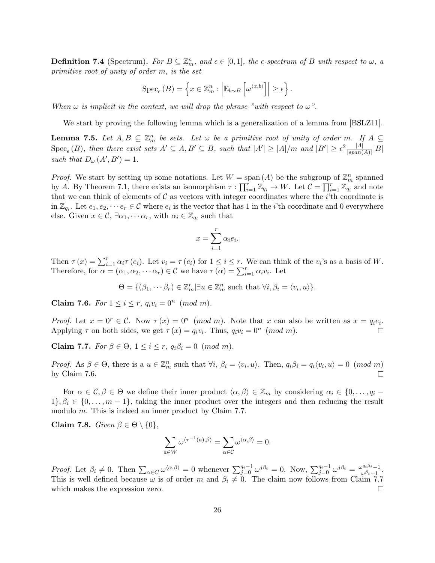**Definition 7.4** (Spectrum). For  $B \subseteq \mathbb{Z}_m^n$ , and  $\epsilon \in [0,1]$ , the  $\epsilon$ -spectrum of B with respect to  $\omega$ , a primitive root of unity of order m, is the set

$$
Spec_{\epsilon}(B) = \left\{ x \in \mathbb{Z}_{m}^{n} : \left| \mathbb{E}_{b \sim B} \left[ \omega^{\langle x, b \rangle} \right] \right| \geq \epsilon \right\}.
$$

When  $\omega$  is implicit in the context, we will drop the phrase "with respect to  $\omega$ ".

We start by proving the following lemma which is a generalization of a lemma from  $|BSLZ11|$ .

**Lemma 7.5.** Let  $A, B \subseteq \mathbb{Z}_m^n$  be sets. Let  $\omega$  be a primitive root of unity of order m. If  $A \subseteq$  $\text{Spec}_{\epsilon}(B)$ , then there exist sets  $A' \subseteq A, B' \subseteq B$ , such that  $|A'| \geq |A|/m$  and  $|B'| \geq \epsilon^2 \frac{|A|}{|span(A)|} |B|$ such that  $D_{\omega}(A', B') = 1$ .

*Proof.* We start by setting up some notations. Let  $W = \text{span}(A)$  be the subgroup of  $\mathbb{Z}_m^n$  spanned by A. By Theorem 7.1, there exists an isomorphism  $\tau : \prod_{i=1}^r \mathbb{Z}_{q_i} \to W$ . Let  $\mathcal{C} = \prod_{i=1}^r \mathbb{Z}_{q_i}$  and note that we can think of elements of  $\mathcal C$  as vectors with integer coordinates where the *i*'th coordinate is in  $\mathbb{Z}_{q_i}$ . Let  $e_1, e_2, \dots e_r \in \mathcal{C}$  where  $e_i$  is the vector that has 1 in the *i*'th coordinate and 0 everywhere else. Given  $x \in \mathcal{C}$ ,  $\exists \alpha_1, \cdots \alpha_r$ , with  $\alpha_i \in \mathbb{Z}_{q_i}$  such that

$$
x = \sum_{i=1}^{r} \alpha_i e_i.
$$

Then  $\tau(x) = \sum_{i=1}^r \alpha_i \tau(e_i)$ . Let  $v_i = \tau(e_i)$  for  $1 \leq i \leq r$ . We can think of the  $v_i$ 's as a basis of W. Therefore, for  $\alpha = (\alpha_1, \alpha_2, \cdots \alpha_r) \in \mathcal{C}$  we have  $\tau(\alpha) = \sum_{i=1}^r \alpha_i v_i$ . Let

$$
\Theta = \{(\beta_1, \cdots \beta_r) \in \mathbb{Z}_m^r | \exists u \in \mathbb{Z}_m^n \text{ such that } \forall i, \beta_i = \langle v_i, u \rangle \}.
$$

**Claim 7.6.** For  $1 \le i \le r$ ,  $q_i v_i = 0^n \pmod{m}$ .

Proof. Let  $x = 0^r \in \mathcal{C}$ . Now  $\tau(x) = 0^n \pmod{m}$ . Note that x can also be written as  $x = q_i e_i$ . Applying  $\tau$  on both sides, we get  $\tau(x) = q_i v_i$ . Thus,  $q_i v_i = 0^n \pmod{m}$ .  $\Box$ 

Claim 7.7. For  $\beta \in \Theta$ ,  $1 \leq i \leq r$ ,  $q_i \beta_i = 0 \pmod{m}$ .

Proof. As  $\beta \in \Theta$ , there is a  $u \in \mathbb{Z}_m^n$  such that  $\forall i, \beta_i = \langle v_i, u \rangle$ . Then,  $q_i \beta_i = q_i \langle v_i, u \rangle = 0 \pmod{m}$ by Claim 7.6.  $\Box$ 

For  $\alpha \in \mathcal{C}, \beta \in \Theta$  we define their inner product  $\langle \alpha, \beta \rangle \in \mathbb{Z}_m$  by considering  $\alpha_i \in \{0, \ldots, q_i 1\}, \beta_i \in \{0, \ldots, m-1\},\$  taking the inner product over the integers and then reducing the result modulo m. This is indeed an inner product by Claim 7.7.

Claim 7.8. Given  $\beta \in \Theta \setminus \{0\},\$ 

$$
\sum_{a \in W} \omega^{\langle \tau^{-1}(a), \beta \rangle} = \sum_{\alpha \in \mathcal{C}} \omega^{\langle \alpha, \beta \rangle} = 0.
$$

*Proof.* Let  $\beta_i \neq 0$ . Then  $\sum_{\alpha \in C} \omega^{\langle \alpha, \beta \rangle} = 0$  whenever  $\sum_{j=0}^{q_i-1} \omega^{j\beta_i} = 0$ . Now,  $\sum_{j=0}^{q_i-1} \omega^{j\beta_i} = \frac{\omega^{q_i\beta_i}-1}{\omega^{\beta_i}-1}$  $\frac{\omega^{\alpha_i \mu_{i-1}}}{\omega^{\beta_i}-1}.$ This is well defined because  $\omega$  is of order m and  $\beta_i \neq 0$ . The claim now follows from Claim 7.7 which makes the expression zero.  $\Box$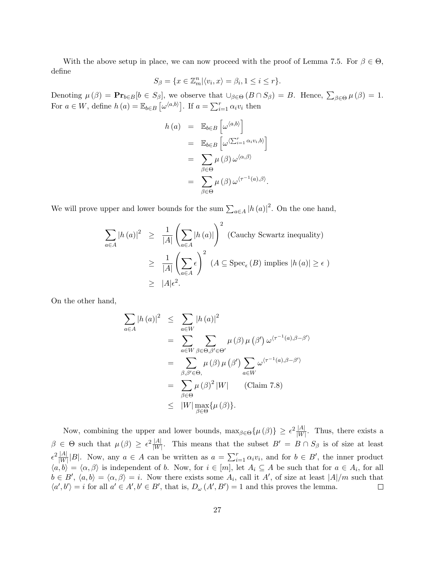With the above setup in place, we can now proceed with the proof of Lemma 7.5. For  $\beta \in \Theta$ , define

$$
S_{\beta} = \{ x \in \mathbb{Z}_m^n | \langle v_i, x \rangle = \beta_i, 1 \le i \le r \}.
$$

Denoting  $\mu(\beta) = \mathbf{Pr}_{b \in B}[b \in S_{\beta}]$ , we observe that  $\cup_{\beta \in \Theta} (B \cap S_{\beta}) = B$ . Hence,  $\sum_{\beta \in \Theta} \mu(\beta) = 1$ . For  $a \in W$ , define  $h(a) = \mathbb{E}_{b \in B} \left[ \omega^{\langle a,b \rangle} \right]$ . If  $a = \sum_{i=1}^{r} \alpha_i v_i$  then

$$
h(a) = \mathbb{E}_{b \in B} \left[ \omega^{\langle a,b \rangle} \right]
$$
  
=  $\mathbb{E}_{b \in B} \left[ \omega^{\langle \sum_{i=1}^{r} \alpha_i v_i, b \rangle} \right]$   
=  $\sum_{\beta \in \Theta} \mu(\beta) \omega^{\langle \alpha, \beta \rangle}$   
=  $\sum_{\beta \in \Theta} \mu(\beta) \omega^{\langle \tau^{-1}(a), \beta \rangle}.$ 

We will prove upper and lower bounds for the sum  $\sum_{a \in A} |h(a)|^2$ . On the one hand,

$$
\sum_{a \in A} |h(a)|^2 \ge \frac{1}{|A|} \left( \sum_{a \in A} |h(a)| \right)^2 \text{ (Cauchy Sowartz inequality)}
$$
  

$$
\ge \frac{1}{|A|} \left( \sum_{a \in A} \epsilon \right)^2 \text{ (}A \subseteq \text{Spec}_{\epsilon} (B) \text{ implies } |h(a)| \ge \epsilon \text{ )}
$$
  

$$
\ge |A|\epsilon^2.
$$

On the other hand,

$$
\sum_{a \in A} |h(a)|^2 \leq \sum_{a \in W} |h(a)|^2
$$
  
= 
$$
\sum_{a \in W} \sum_{\beta \in \Theta, \beta' \in \Theta'} \mu(\beta) \mu(\beta') \omega^{\langle \tau^{-1}(a), \beta - \beta' \rangle}
$$
  
= 
$$
\sum_{\beta, \beta' \in \Theta,} \mu(\beta) \mu(\beta') \sum_{a \in W} \omega^{\langle \tau^{-1}(a), \beta - \beta' \rangle}
$$
  
= 
$$
\sum_{\beta \in \Theta} \mu(\beta)^2 |W| \qquad \text{(Claim 7.8)}
$$
  
\$\leq\$ 
$$
|W| \max_{\beta \in \Theta} {\{\mu(\beta)\}}.
$$

Now, combining the upper and lower bounds,  $\max_{\beta \in \Theta} {\{\mu(\beta)\}} \geq \epsilon^2 \frac{|A|}{|W|}$ . Thus, there exists a  $\beta \in \Theta$  such that  $\mu(\beta) \geq \epsilon^2 \frac{|A|}{|W|}$ . This means that the subset  $B' = B \cap S_{\beta}$  is of size at least  $\epsilon^2 \frac{|A|}{|W|} |B|$ . Now, any  $a \in A$  can be written as  $a = \sum_{i=1}^r \alpha_i v_i$ , and for  $b \in B'$ , the inner product  $\langle a,b\rangle = \langle \alpha, \beta \rangle$  is independent of b. Now, for  $i \in [m]$ , let  $A_i \subseteq A$  be such that for  $a \in A_i$ , for all  $b \in B', \langle a, b \rangle = \langle \alpha, \beta \rangle = i.$  Now there exists some  $A_i$ , call it A', of size at least  $|A|/m$  such that  $\langle a', b' \rangle = i$  for all  $a' \in A', b' \in B'$ , that is,  $D_{\omega}(A', B') = 1$  and this proves the lemma.  $\Box$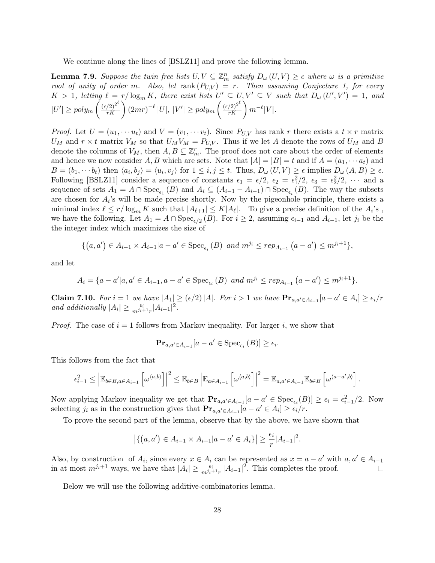We continue along the lines of [BSLZ11] and prove the following lemma.

**Lemma 7.9.** Suppose the twin free lists  $U, V \subseteq \mathbb{Z}_m^n$  satisfy  $D_\omega(U, V) \geq \epsilon$  where  $\omega$  is a primitive root of unity of order m. Also, let  $rank(P_{U,V}) = r$ . Then assuming Conjecture 1, for every  $K > 1$ , letting  $\ell = r/\log_m K$ , there exist lists  $U' \subseteq U, V' \subseteq V$  such that  $D_{\omega}(U', V') = 1$ , and  $|U'| \geq poly_m \left(\frac{(\epsilon/2)^{2^{\ell}}}{rK}\right) (2mr)^{-\ell} |U|, |V'| \geq poly_m \left(\frac{(\epsilon/2)^{2^{\ell}}}{rK}\right) m^{-\ell} |V|.$ 

*Proof.* Let  $U = (u_1, \dots, u_t)$  and  $V = (v_1, \dots, v_t)$ . Since  $P_{U,V}$  has rank r there exists a  $t \times r$  matrix  $U_M$  and  $r \times t$  matrix  $V_M$  so that  $U_M V_M = P_{U,V}$ . Thus if we let A denote the rows of  $U_M$  and B denote the columns of  $V_M$ , then  $A, B \subseteq \mathbb{Z}_m^r$ . The proof does not care about the order of elements and hence we now consider A, B which are sets. Note that  $|A| = |B| = t$  and if  $A = (a_1, \dots, a_t)$  and  $B = (b_1, \dots, b_t)$  then  $\langle a_i, b_j \rangle = \langle u_i, v_j \rangle$  for  $1 \leq i, j \leq t$ . Thus,  $D_{\omega}(U, V) \geq \epsilon$  implies  $D_{\omega}(A, B) \geq \epsilon$ . Following [BSLZ11] consider a sequence of constants  $\epsilon_1 = \epsilon/2$ ,  $\epsilon_2 = \epsilon_1^2/2$ ,  $\epsilon_3 = \epsilon_2^2/2$ ,  $\cdots$  and a sequence of sets  $A_1 = A \cap \text{Spec}_{\epsilon_1}(B)$  and  $A_i \subseteq (A_{i-1} - A_{i-1}) \cap \text{Spec}_{\epsilon_i}(B)$ . The way the subsets are chosen for  $A_i$ 's will be made precise shortly. Now by the pigeonhole principle, there exists a minimal index  $\ell \leq r/\log_m K$  such that  $|A_{\ell+1}| \leq K|A_{\ell}|$ . To give a precise definition of the  $A_i$ 's, we have the following. Let  $A_1 = A \cap \text{Spec}_{\epsilon/2}(B)$ . For  $i \geq 2$ , assuming  $\epsilon_{i-1}$  and  $A_{i-1}$ , let  $j_i$  be the the integer index which maximizes the size of

$$
\{(a,a') \in A_{i-1} \times A_{i-1}| a - a' \in \text{Spec}_{\epsilon_i}(B) \text{ and } m^{j_i} \le rep_{A_{i-1}}(a-a') \le m^{j_i+1}\},\
$$

and let

$$
A_i = \{a - a' | a, a' \in A_{i-1}, a - a' \in \text{Spec}_{\epsilon_i}(B) \text{ and } m^{j_i} \le rep_{A_{i-1}}(a - a') \le m^{j_i+1}\}.
$$

**Claim 7.10.** For  $i = 1$  we have  $|A_1| \geq (\epsilon/2)|A|$ . For  $i > 1$  we have  $\Pr_{a,a' \in A_{i-1}}[a-a' \in A_i] \geq \epsilon_i/r$ and additionally  $|A_i| \geq \frac{\epsilon_i}{m^{j_i+1}r} |A_{i-1}|^2$ .

*Proof.* The case of  $i = 1$  follows from Markov inequality. For larger i, we show that

$$
\mathbf{Pr}_{a,a'\in A_{i-1}}[a-a'\in \mathrm{Spec}_{\epsilon_i}(B)]\geq \epsilon_i.
$$

This follows from the fact that

$$
\epsilon_{i-1}^2 \leq \left| \mathbb{E}_{b \in B, a \in A_{i-1}} \left[ \omega^{\langle a,b \rangle} \right] \right|^2 \leq \mathbb{E}_{b \in B} \left| \mathbb{E}_{a \in A_{i-1}} \left[ \omega^{\langle a,b \rangle} \right] \right|^2 = \mathbb{E}_{a,a' \in A_{i-1}} \mathbb{E}_{b \in B} \left[ \omega^{\langle a-a',b \rangle} \right].
$$

Now applying Markov inequality we get that  $\mathbf{Pr}_{a,a'\in A_{i-1}}[a-a'\in \text{Spec}_{\epsilon_i}(B)] \geq \epsilon_i = \epsilon_{i-1}^2/2$ . Now selecting  $j_i$  as in the construction gives that  $\mathbf{Pr}_{a,a' \in A_{i-1}}[a - a' \in A_i] \ge \epsilon_i/r$ .

To prove the second part of the lemma, observe that by the above, we have shown that

$$
|\{(a,a') \in A_{i-1} \times A_{i-1}|a-a' \in A_i\}| \geq \frac{\epsilon_i}{r}|A_{i-1}|^2.
$$

Also, by construction of  $A_i$ , since every  $x \in A_i$  can be represented as  $x = a - a'$  with  $a, a' \in A_{i-1}$ in at most  $m^{j_i+1}$  ways, we have that  $|A_i| \geq \frac{\epsilon_i}{m^{j_i+1}r} |A_{i-1}|^2$ . This completes the proof.  $\Box$ 

Below we will use the following additive-combinatorics lemma.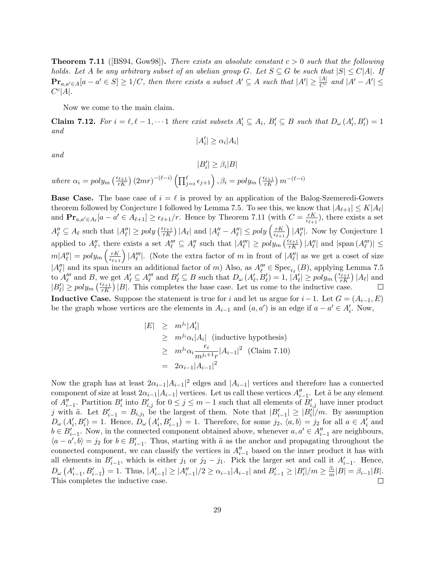**Theorem 7.11** ([BS94, Gow98]). There exists an absolute constant  $c > 0$  such that the following holds. Let A be any arbitrary subset of an abelian group G. Let  $S \subseteq G$  be such that  $|S| \le C|A|$ . If  $\mathbf{Pr}_{a,a'\in A}[a-a'\in S]\ge 1/C$ , then there exists a subset  $A'\subseteq A$  such that  $|A'|\ge \frac{|A|}{C^c}$  and  $|A'-A'|\le$  $C^c|A|.$ 

Now we come to the main claim.

**Claim 7.12.** For  $i = \ell, \ell - 1, \cdots 1$  there exist subsets  $A'_i \subseteq A_i$ ,  $B'_i \subseteq B$  such that  $D_\omega(A'_i, B'_i) = 1$ and

$$
|A'_i| \geq \alpha_i |A_i|
$$

and

 $|B'_i| \geq \beta_i|B|$ where  $\alpha_i = poly_m \left(\frac{\epsilon_{\ell+1}}{rK}\right) (2mr)^{-(\ell-i)} \left(\prod_{j=i}^{\ell} \epsilon_{j+1}\right), \beta_i = poly_m \left(\frac{\epsilon_{\ell+1}}{rK}\right) m^{-(\ell-i)}$ 

**Base Case.** The base case of  $i = \ell$  is proved by an application of the Balog-Szemeredi-Gowers theorem followed by Conjecture 1 followed by Lemma 7.5. To see this, we know that  $|A_{\ell+1}| \leq K|A_{\ell}|$ and  $\mathbf{Pr}_{a,a'\in A_{\ell}}[a-a'\in A_{\ell+1}]\geq \epsilon_{\ell+1}/r$ . Hence by Theorem 7.11 (with  $C=\frac{rK}{\epsilon_{\ell+1}}$  $\frac{rK}{\epsilon_{\ell+1}}$ , there exists a set  $A''_{\ell} \subseteq A_{\ell}$  such that  $|A''_{\ell}| \geq poly\left(\frac{\epsilon_{\ell+1}}{rK}\right)|A_{\ell}|$  and  $|A''_{\ell} - A''_{\ell}| \leq poly\left(\frac{rK}{\epsilon_{\ell+1}}\right)|A''_{\ell}|$ . Now by Conjecture 1 applied to  $A''_{\ell}$ , there exists a set  $A'''_{\ell} \subseteq A''_{\ell}$  such that  $|A'''_{\ell}| \geq poly_m \left(\frac{\epsilon_{\ell+1}}{rK}\right) |A''_{\ell}|$  and  $|\text{span}(A'''_{\ell})| \leq$  $m|A''_{\ell}| = poly_m\left(\frac{rK}{\epsilon_{\ell+1}}\right)|A''_{\ell}|.$  (Note the extra factor of m in front of  $|A''_{\ell}|$  as we get a coset of size  $|A''_\ell|$  and its span incurs an additional factor of m) Also, as  $A'''_\ell \in \text{Spec}_{\epsilon_\ell}(B)$ , applying Lemma 7.5 to  $A''_{\ell}$  and B, we get  $A'_{\ell} \subseteq A'''_{\ell}$  and  $B'_{\ell} \subseteq B$  such that  $D_{\omega} (A'_{\ell}, B'_{\ell}) = 1, |A'_{\ell}| \geq poly_m \left( \frac{\epsilon_{\ell+1}}{rK} \right) |A_{\ell}|$  and  $|B'_{\ell}| \geq poly_m\left(\frac{\epsilon_{\ell+1}}{rK}\right)|B|$ . This completes the base case. Let us come to the inductive case.  $\Box$ **Inductive Case.** Suppose the statement is true for i and let us argue for  $i-1$ . Let  $G = (A_{i-1}, E)$ be the graph whose vertices are the elements in  $A_{i-1}$  and  $(a, a')$  is an edge if  $a - a' \in A'_{i}$ . Now,

$$
|E| \ge m^{j_i} |A'_i|
$$
  
\n
$$
\ge m^{j_i} \alpha_i |A_i| \text{ (inductive hypothesis)}
$$
  
\n
$$
\ge m^{j_i} \alpha_i \frac{\epsilon_i}{m^{j_i+1} r} |A_{i-1}|^2 \text{ (Claim 7.10)}
$$
  
\n
$$
= 2\alpha_{i-1} |A_{i-1}|^2
$$

Now the graph has at least  $2\alpha_{i-1}|A_{i-1}|^2$  edges and  $|A_{i-1}|$  vertices and therefore has a connected component of size at least  $2\alpha_{i-1}|A_{i-1}|$  vertices. Let us call these vertices  $A''_{i-1}$ . Let  $\tilde{a}$  be any element of  $A_{i-1}''$ . Partition  $B_i'$  into  $B_{i,j}'$  for  $0 \leq j \leq m-1$  such that all elements of  $B_{i,j}'$  have inner product j with  $\tilde{a}$ . Let  $B'_{i-1} = B_{i,j_1}$  be the largest of them. Note that  $|B'_{i-1}| \geq |B'_{i}|/m$ . By assumption  $D_{\omega}(A'_i, B'_i) = 1$ . Hence,  $D_{\omega}(A'_i, B'_{i-1}) = 1$ . Therefore, for some  $j_2$ ,  $\langle a, b \rangle = j_2$  for all  $a \in A'_i$  and  $b \in B'_{i-1}$ . Now, in the connected component obtained above, whenever  $a, a' \in A''_{i-1}$  are neighbours,  $\langle a-a',b\rangle = j_2$  for  $b \in B'_{i-1}$ . Thus, starting with  $\tilde{a}$  as the anchor and propagating throughout the connected component, we can classify the vertices in  $A_{i-1}''$  based on the inner product it has with all elements in  $B'_{i-1}$ , which is either  $j_1$  or  $j_2 - j_1$ . Pick the larger set and call it  $A'_{i-1}$ . Hence,  $D_{\omega}\left(A'_{i-1}, B'_{i-1}\right) = 1$ . Thus,  $|A'_{i-1}| \geq |A''_{i-1}|/2 \geq \alpha_{i-1}|A_{i-1}|$  and  $B'_{i-1} \geq |B'_{i}|/m \geq \frac{\beta_{i}}{m}|B| = \beta_{i-1}|B|$ . This completes the inductive case.  $\Box$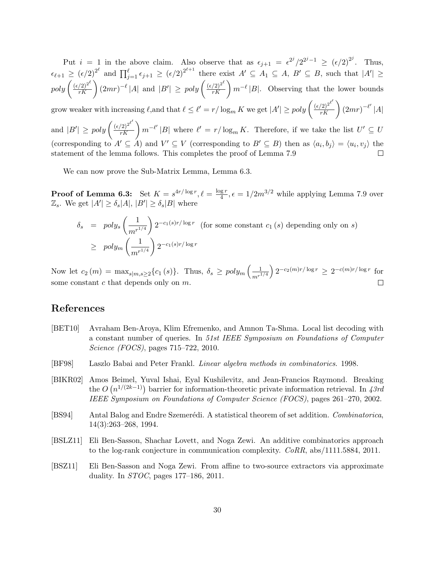Put  $i = 1$  in the above claim. Also observe that as  $\epsilon_{j+1} = \epsilon^{2^j}/2^{2^{j-1}} \geq (\epsilon/2)^{2^j}$ . Thus,  $\epsilon_{\ell+1} \geq (\epsilon/2)^{2^{\ell}}$  and  $\prod_{j=1}^{\ell} \epsilon_{j+1} \geq (\epsilon/2)^{2^{\ell+1}}$  there exist  $A' \subseteq A_1 \subseteq A, B' \subseteq B$ , such that  $|A'| \geq$  $poly\left(\frac{(\epsilon/2)^{2^{\ell}}}{rK}\right)(2mr)^{-\ell} |A|$  and  $|B'| \geq poly\left(\frac{(\epsilon/2)^{2^{\ell}}}{rK}\right)m^{-\ell}|B|$ . Observing that the lower bounds  $\overline{1}$ 

grow weaker with increasing  $\ell$ ,and that  $\ell \leq \ell' = r/\log_m K$  we get  $|A'| \geq poly \left( \frac{{(\epsilon/2)}^{2^{\ell'}}}{rK} \right) (2mr)^{-\ell'} |A|$ 

and  $|B'| \geq poly \left( \frac{(\epsilon/2)^{2^{\ell'}}}{rK} \right) m^{-\ell'} |B|$  where  $\ell' = r/\log_m K$ . Therefore, if we take the list  $U' \subseteq U$ (corresponding to  $A' \subseteq A$ ) and  $V' \subseteq V$  (corresponding to  $B' \subseteq B$ ) then as  $\langle a_i, b_j \rangle = \langle u_i, v_j \rangle$  the statement of the lemma follows. This completes the proof of Lemma 7.9  $\Box$ 

We can now prove the Sub-Matrix Lemma, Lemma 6.3.

**Proof of Lemma 6.3:** Set  $K = s^{4r/\log r}, \ell = \frac{\log r}{4}$  $\frac{g r}{4}$ ,  $\epsilon = 1/2m^{3/2}$  while applying Lemma 7.9 over  $\mathbb{Z}_s$ . We get  $|A'| \geq \delta_s |A|, |B'| \geq \delta_s |B|$  where

$$
\delta_s = poly_s \left(\frac{1}{m^{r^{1/4}}}\right) 2^{-c_1(s)r/\log r} \text{ (for some constant } c_1(s) \text{ depending only on } s)
$$
  
\n
$$
\geq poly_m \left(\frac{1}{m^{r^{1/4}}}\right) 2^{-c_1(s)r/\log r}
$$

Now let  $c_2(m) = \max_{s|m,s\geq 2}\{c_1(s)\}\$ . Thus,  $\delta_s \geq poly_m\left(\frac{1}{\epsilon_0 r^2}\right)$  $\frac{1}{m^{r^{1/4}}}$ )  $2^{-c_2(m)r/\log r} \geq 2^{-c(m)r/\log r}$  for  $\Box$ some constant  $c$  that depends only on  $m$ .

## References

- [BET10] Avraham Ben-Aroya, Klim Efremenko, and Amnon Ta-Shma. Local list decoding with a constant number of queries. In 51st IEEE Symposium on Foundations of Computer Science (FOCS), pages 715–722, 2010.
- [BF98] Laszlo Babai and Peter Frankl. Linear algebra methods in combinatorics. 1998.
- [BIKR02] Amos Beimel, Yuval Ishai, Eyal Kushilevitz, and Jean-Francios Raymond. Breaking the  $O(n^{1/(2k-1)})$  barrier for information-theoretic private information retrieval. In 43rd IEEE Symposium on Foundations of Computer Science (FOCS), pages 261–270, 2002.
- [BS94] Antal Balog and Endre Szemerédi. A statistical theorem of set addition. Combinatorica, 14(3):263–268, 1994.
- [BSLZ11] Eli Ben-Sasson, Shachar Lovett, and Noga Zewi. An additive combinatorics approach to the log-rank conjecture in communication complexity. CoRR, abs/1111.5884, 2011.
- [BSZ11] Eli Ben-Sasson and Noga Zewi. From affine to two-source extractors via approximate duality. In STOC, pages 177–186, 2011.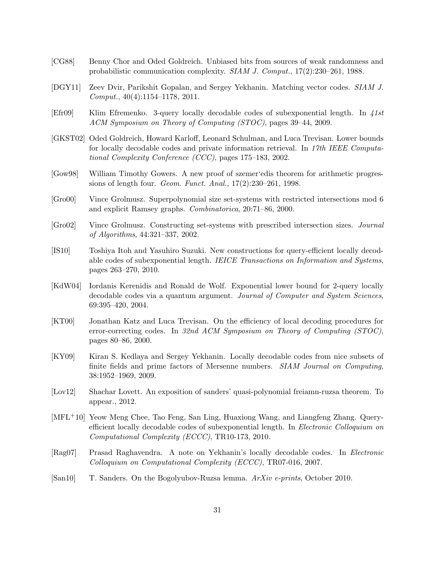- [CG88] Benny Chor and Oded Goldreich. Unbiased bits from sources of weak randomness and probabilistic communication complexity. SIAM J. Comput., 17(2):230–261, 1988.
- [DGY11] Zeev Dvir, Parikshit Gopalan, and Sergey Yekhanin. Matching vector codes. SIAM J. Comput., 40(4):1154–1178, 2011.
- [Efr09] Klim Efremenko. 3-query locally decodable codes of subexponential length. In 41st ACM Symposium on Theory of Computing (STOC), pages 39–44, 2009.
- [GKST02] Oded Goldreich, Howard Karloff, Leonard Schulman, and Luca Trevisan. Lower bounds for locally decodable codes and private information retrieval. In 17th IEEE Computational Complexity Conference (CCC), pages 175–183, 2002.
- [Gow98] William Timothy Gowers. A new proof of szemer'edis theorem for arithmetic progressions of length four. Geom. Funct. Anal., 17(2):230–261, 1998.
- [Gro00] Vince Grolmusz. Superpolynomial size set-systems with restricted intersections mod 6 and explicit Ramsey graphs. Combinatorica, 20:71–86, 2000.
- [Gro02] Vince Grolmusz. Constructing set-systems with prescribed intersection sizes. Journal of Algorithms, 44:321–337, 2002.
- [IS10] Toshiya Itoh and Yasuhiro Suzuki. New constructions for query-efficient locally decodable codes of subexponential length. IEICE Transactions on Information and Systems, pages 263–270, 2010.
- [KdW04] Iordanis Kerenidis and Ronald de Wolf. Exponential lower bound for 2-query locally decodable codes via a quantum argument. Journal of Computer and System Sciences, 69:395–420, 2004.
- [KT00] Jonathan Katz and Luca Trevisan. On the efficiency of local decoding procedures for error-correcting codes. In 32nd ACM Symposium on Theory of Computing (STOC), pages 80–86, 2000.
- [KY09] Kiran S. Kedlaya and Sergey Yekhanin. Locally decodable codes from nice subsets of finite fields and prime factors of Mersenne numbers. SIAM Journal on Computing, 38:1952–1969, 2009.
- [Lov12] Shachar Lovett. An exposition of sanders' quasi-polynomial freiamn-ruzsa theorem. To appear., 2012.
- [MFL+10] Yeow Meng Chee, Tao Feng, San Ling, Huaxiong Wang, and Liangfeng Zhang. Queryefficient locally decodable codes of subexponential length. In Electronic Colloquium on Computational Complexity (ECCC), TR10-173, 2010.
- [Rag07] Prasad Raghavendra. A note on Yekhanin's locally decodable codes. In Electronic Colloquium on Computational Complexity (ECCC), TR07-016, 2007.
- [San10] T. Sanders. On the Bogolyubov-Ruzsa lemma. ArXiv e-prints, October 2010.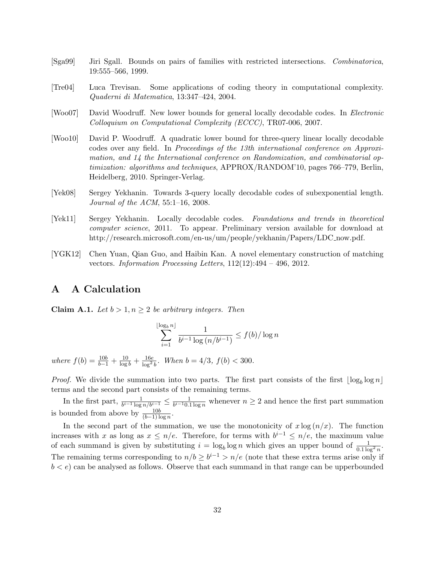- [Sga99] Jiri Sgall. Bounds on pairs of families with restricted intersections. Combinatorica, 19:555–566, 1999.
- [Tre04] Luca Trevisan. Some applications of coding theory in computational complexity. Quaderni di Matematica, 13:347–424, 2004.
- [Woo07] David Woodruff. New lower bounds for general locally decodable codes. In Electronic Colloquium on Computational Complexity (ECCC), TR07-006, 2007.
- [Woo10] David P. Woodruff. A quadratic lower bound for three-query linear locally decodable codes over any field. In Proceedings of the 13th international conference on Approximation, and 14 the International conference on Randomization, and combinatorial optimization: algorithms and techniques, APPROX/RANDOM'10, pages 766–779, Berlin, Heidelberg, 2010. Springer-Verlag.
- [Yek08] Sergey Yekhanin. Towards 3-query locally decodable codes of subexponential length. Journal of the ACM, 55:1–16, 2008.
- [Yek11] Sergey Yekhanin. Locally decodable codes. Foundations and trends in theoretical computer science, 2011. To appear. Preliminary version available for download at http://research.microsoft.com/en-us/um/people/yekhanin/Papers/LDC now.pdf.
- [YGK12] Chen Yuan, Qian Guo, and Haibin Kan. A novel elementary construction of matching vectors. Information Processing Letters, 112(12):494 – 496, 2012.

## A A Calculation

**Claim A.1.** Let  $b > 1, n \geq 2$  be arbitrary integers. Then

$$
\sum_{i=1}^{\lfloor \log_b n \rfloor} \frac{1}{b^{i-1} \log (n/b^{i-1})} \le f(b) / \log n
$$

where  $f(b) = \frac{10b}{b-1} + \frac{10}{\log b} + \frac{16e}{\log^2 b}$ . When  $b = 4/3$ ,  $f(b) < 300$ .

*Proof.* We divide the summation into two parts. The first part consists of the first  $\lfloor \log_b \log n \rfloor$ terms and the second part consists of the remaining terms.

In the first part,  $\frac{1}{b^{i-1} \log n/b^{i-1}} \leq \frac{1}{b^{i-1} 0.1}$  $\frac{1}{b^{i-1}0.1 \log n}$  whenever  $n \geq 2$  and hence the first part summation is bounded from above by  $\frac{10b}{(b-1)\log n}$ .

In the second part of the summation, we use the monotonicity of  $x \log(n/x)$ . The function increases with x as long as  $x \leq n/e$ . Therefore, for terms with  $b^{i-1} \leq n/e$ , the maximum value of each summand is given by substituting  $i = \log_b \log n$  which gives an upper bound of  $\frac{1}{0.1 \log^2 n}$ . The remaining terms corresponding to  $n/b \ge b^{i-1} > n/e$  (note that these extra terms arise only if  $b < e$ ) can be analysed as follows. Observe that each summand in that range can be upperbounded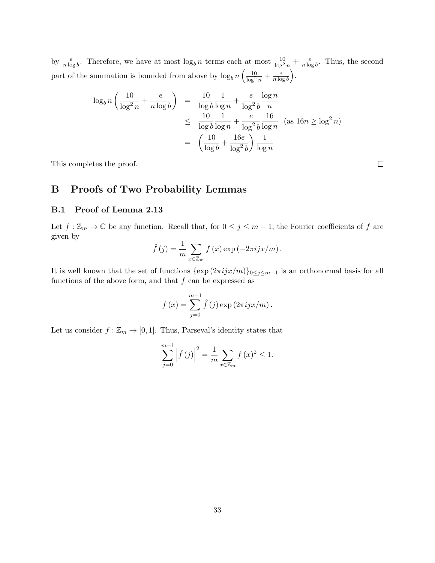by  $\frac{e}{n \log b}$ . Therefore, we have at most  $\log_b n$  terms each at most  $\frac{10}{\log^2 n} + \frac{e}{n \log^2 n}$  $\frac{e}{n \log b}$ . Thus, the second part of the summation is bounded from above by  $\log_b n \left( \frac{10}{\log^2 n} + \frac{e}{n \log^2 n} \right)$  $\frac{e}{n \log b}$ .

$$
\begin{array}{rcl}\n\log_b n \left( \frac{10}{\log^2 n} + \frac{e}{n \log b} \right) & = & \frac{10}{\log b} \frac{1}{\log n} + \frac{e}{\log^2 b} \frac{\log n}{n} \\
& \leq & \frac{10}{\log b} \frac{1}{\log n} + \frac{e}{\log^2 b} \frac{16}{\log n} \quad \text{(as } 16n \ge \log^2 n) \\
& = & \left( \frac{10}{\log b} + \frac{16e}{\log^2 b} \right) \frac{1}{\log n}\n\end{array}
$$

This completes the proof.

## B Proofs of Two Probability Lemmas

#### B.1 Proof of Lemma 2.13

Let  $f : \mathbb{Z}_m \to \mathbb{C}$  be any function. Recall that, for  $0 \leq j \leq m-1$ , the Fourier coefficients of f are given by

$$
\hat{f}(j) = \frac{1}{m} \sum_{x \in \mathbb{Z}_m} f(x) \exp(-2\pi i jx/m).
$$

It is well known that the set of functions  $\{\exp(2\pi i jx/m)\}_{0\leq j\leq m-1}$  is an orthonormal basis for all functions of the above form, and that  $f$  can be expressed as

$$
f(x) = \sum_{j=0}^{m-1} \hat{f}(j) \exp(2\pi i jx/m).
$$

Let us consider  $f : \mathbb{Z}_m \to [0,1]$ . Thus, Parseval's identity states that

$$
\sum_{j=0}^{m-1} |\hat{f}(j)|^2 = \frac{1}{m} \sum_{x \in \mathbb{Z}_m} f(x)^2 \le 1.
$$

 $\Box$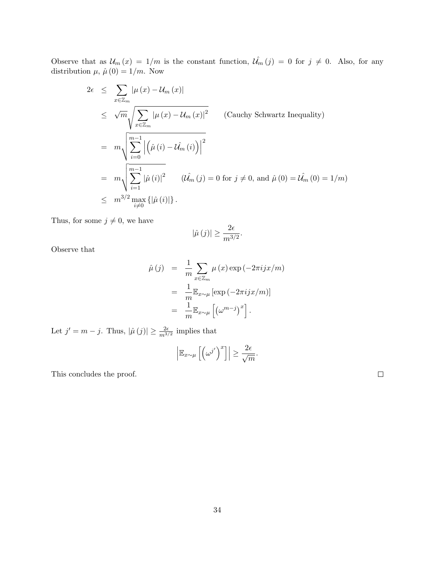Observe that as  $\mathcal{U}_m(x) = 1/m$  is the constant function,  $\mathcal{U}_m(j) = 0$  for  $j \neq 0$ . Also, for any distribution  $\mu$ ,  $\hat{\mu}(0) = 1/m$ . Now

$$
2\epsilon \leq \sum_{x \in \mathbb{Z}_m} |\mu(x) - \mathcal{U}_m(x)|
$$
  
\n
$$
\leq \sqrt{m} \sqrt{\sum_{x \in \mathbb{Z}_m} |\mu(x) - \mathcal{U}_m(x)|^2}
$$
 (Cauchy Schwartz Inequality)  
\n
$$
= m \sqrt{\sum_{i=0}^{m-1} |(\hat{\mu}(i) - \hat{\mathcal{U}_m}(i))|^2}
$$
  
\n
$$
= m \sqrt{\sum_{i=1}^{m-1} |\hat{\mu}(i)|^2}
$$
 ( $\hat{\mathcal{U}_m}(j) = 0$  for  $j \neq 0$ , and  $\hat{\mu}(0) = \hat{\mathcal{U}_m}(0) = 1/m$ )  
\n
$$
\leq m^{3/2} \max_{i \neq 0} \{|\hat{\mu}(i)|\}.
$$

Thus, for some  $j \neq 0$ , we have

$$
|\hat{\mu}(j)| \ge \frac{2\epsilon}{m^{3/2}}.
$$

Observe that

$$
\hat{\mu}(j) = \frac{1}{m} \sum_{x \in \mathbb{Z}_m} \mu(x) \exp(-2\pi i jx/m)
$$

$$
= \frac{1}{m} \mathbb{E}_{x \sim \mu} [\exp(-2\pi i jx/m)]
$$

$$
= \frac{1}{m} \mathbb{E}_{x \sim \mu} [(\omega^{m-j})^x].
$$

Let  $j' = m - j$ . Thus,  $|\hat{\mu}(j)| \ge \frac{2\epsilon}{m^{3/2}}$  implies that

$$
\left|\mathbb{E}_{x\sim\mu}\left[\left(\omega^{j'}\right)^x\right]\right|\geq \frac{2\epsilon}{\sqrt{m}}.
$$

This concludes the proof.

 $\Box$